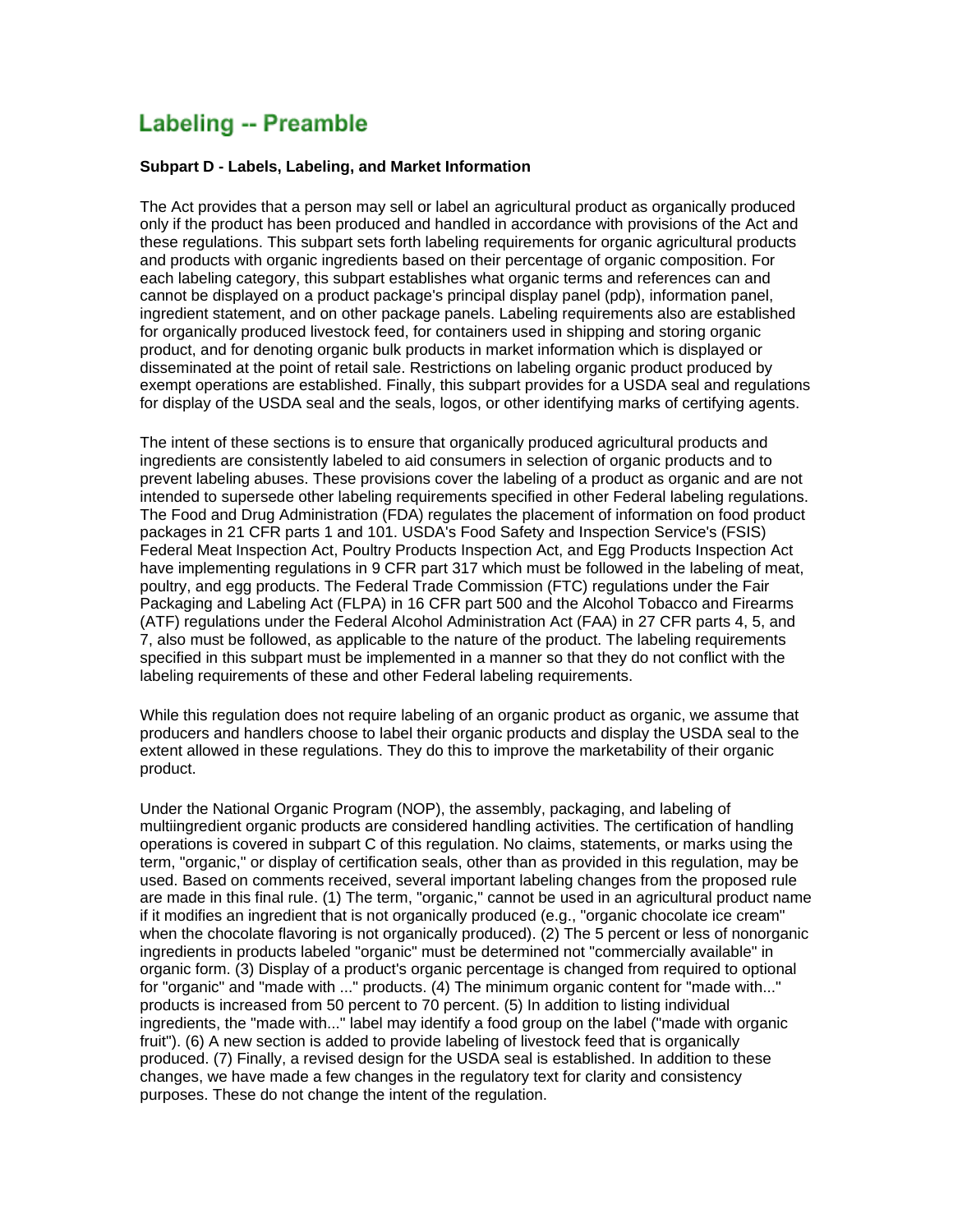# **Labeling -- Preamble**

#### **Subpart D - Labels, Labeling, and Market Information**

The Act provides that a person may sell or label an agricultural product as organically produced only if the product has been produced and handled in accordance with provisions of the Act and these regulations. This subpart sets forth labeling requirements for organic agricultural products and products with organic ingredients based on their percentage of organic composition. For each labeling category, this subpart establishes what organic terms and references can and cannot be displayed on a product package's principal display panel (pdp), information panel, ingredient statement, and on other package panels. Labeling requirements also are established for organically produced livestock feed, for containers used in shipping and storing organic product, and for denoting organic bulk products in market information which is displayed or disseminated at the point of retail sale. Restrictions on labeling organic product produced by exempt operations are established. Finally, this subpart provides for a USDA seal and regulations for display of the USDA seal and the seals, logos, or other identifying marks of certifying agents.

The intent of these sections is to ensure that organically produced agricultural products and ingredients are consistently labeled to aid consumers in selection of organic products and to prevent labeling abuses. These provisions cover the labeling of a product as organic and are not intended to supersede other labeling requirements specified in other Federal labeling regulations. The Food and Drug Administration (FDA) regulates the placement of information on food product packages in 21 CFR parts 1 and 101. USDA's Food Safety and Inspection Service's (FSIS) Federal Meat Inspection Act, Poultry Products Inspection Act, and Egg Products Inspection Act have implementing regulations in 9 CFR part 317 which must be followed in the labeling of meat, poultry, and egg products. The Federal Trade Commission (FTC) regulations under the Fair Packaging and Labeling Act (FLPA) in 16 CFR part 500 and the Alcohol Tobacco and Firearms (ATF) regulations under the Federal Alcohol Administration Act (FAA) in 27 CFR parts 4, 5, and 7, also must be followed, as applicable to the nature of the product. The labeling requirements specified in this subpart must be implemented in a manner so that they do not conflict with the labeling requirements of these and other Federal labeling requirements.

While this regulation does not require labeling of an organic product as organic, we assume that producers and handlers choose to label their organic products and display the USDA seal to the extent allowed in these regulations. They do this to improve the marketability of their organic product.

Under the National Organic Program (NOP), the assembly, packaging, and labeling of multiingredient organic products are considered handling activities. The certification of handling operations is covered in subpart C of this regulation. No claims, statements, or marks using the term, "organic," or display of certification seals, other than as provided in this regulation, may be used. Based on comments received, several important labeling changes from the proposed rule are made in this final rule. (1) The term, "organic," cannot be used in an agricultural product name if it modifies an ingredient that is not organically produced (e.g., "organic chocolate ice cream" when the chocolate flavoring is not organically produced). (2) The 5 percent or less of nonorganic ingredients in products labeled "organic" must be determined not "commercially available" in organic form. (3) Display of a product's organic percentage is changed from required to optional for "organic" and "made with ..." products. (4) The minimum organic content for "made with..." products is increased from 50 percent to 70 percent. (5) In addition to listing individual ingredients, the "made with..." label may identify a food group on the label ("made with organic fruit"). (6) A new section is added to provide labeling of livestock feed that is organically produced. (7) Finally, a revised design for the USDA seal is established. In addition to these changes, we have made a few changes in the regulatory text for clarity and consistency purposes. These do not change the intent of the regulation.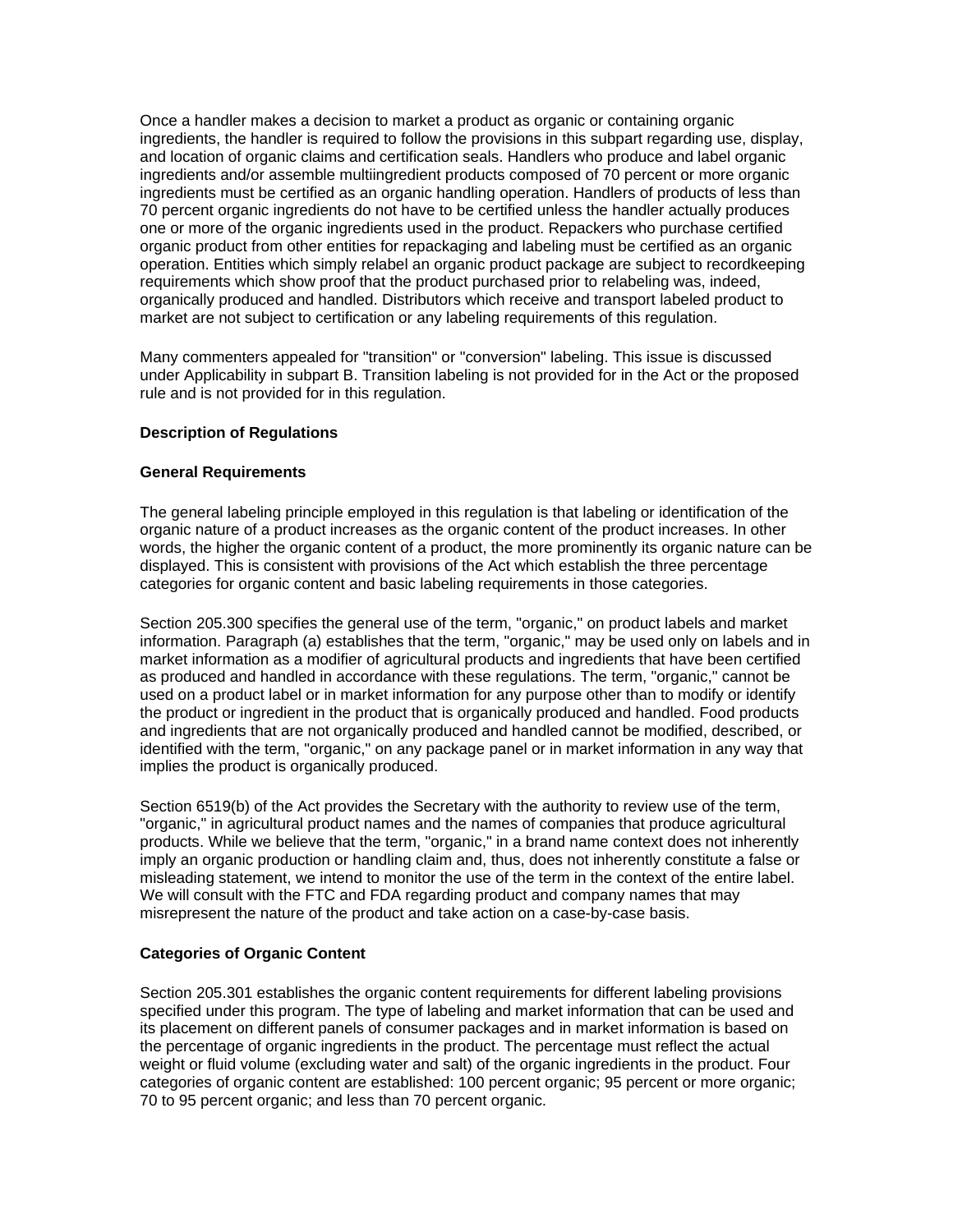Once a handler makes a decision to market a product as organic or containing organic ingredients, the handler is required to follow the provisions in this subpart regarding use, display, and location of organic claims and certification seals. Handlers who produce and label organic ingredients and/or assemble multiingredient products composed of 70 percent or more organic ingredients must be certified as an organic handling operation. Handlers of products of less than 70 percent organic ingredients do not have to be certified unless the handler actually produces one or more of the organic ingredients used in the product. Repackers who purchase certified organic product from other entities for repackaging and labeling must be certified as an organic operation. Entities which simply relabel an organic product package are subject to recordkeeping requirements which show proof that the product purchased prior to relabeling was, indeed, organically produced and handled. Distributors which receive and transport labeled product to market are not subject to certification or any labeling requirements of this regulation.

Many commenters appealed for "transition" or "conversion" labeling. This issue is discussed under Applicability in subpart B. Transition labeling is not provided for in the Act or the proposed rule and is not provided for in this regulation.

# **Description of Regulations**

## **General Requirements**

The general labeling principle employed in this regulation is that labeling or identification of the organic nature of a product increases as the organic content of the product increases. In other words, the higher the organic content of a product, the more prominently its organic nature can be displayed. This is consistent with provisions of the Act which establish the three percentage categories for organic content and basic labeling requirements in those categories.

Section 205.300 specifies the general use of the term, "organic," on product labels and market information. Paragraph (a) establishes that the term, "organic," may be used only on labels and in market information as a modifier of agricultural products and ingredients that have been certified as produced and handled in accordance with these regulations. The term, "organic," cannot be used on a product label or in market information for any purpose other than to modify or identify the product or ingredient in the product that is organically produced and handled. Food products and ingredients that are not organically produced and handled cannot be modified, described, or identified with the term, "organic," on any package panel or in market information in any way that implies the product is organically produced.

Section 6519(b) of the Act provides the Secretary with the authority to review use of the term, "organic," in agricultural product names and the names of companies that produce agricultural products. While we believe that the term, "organic," in a brand name context does not inherently imply an organic production or handling claim and, thus, does not inherently constitute a false or misleading statement, we intend to monitor the use of the term in the context of the entire label. We will consult with the FTC and FDA regarding product and company names that may misrepresent the nature of the product and take action on a case-by-case basis.

## **Categories of Organic Content**

Section 205.301 establishes the organic content requirements for different labeling provisions specified under this program. The type of labeling and market information that can be used and its placement on different panels of consumer packages and in market information is based on the percentage of organic ingredients in the product. The percentage must reflect the actual weight or fluid volume (excluding water and salt) of the organic ingredients in the product. Four categories of organic content are established: 100 percent organic; 95 percent or more organic; 70 to 95 percent organic; and less than 70 percent organic.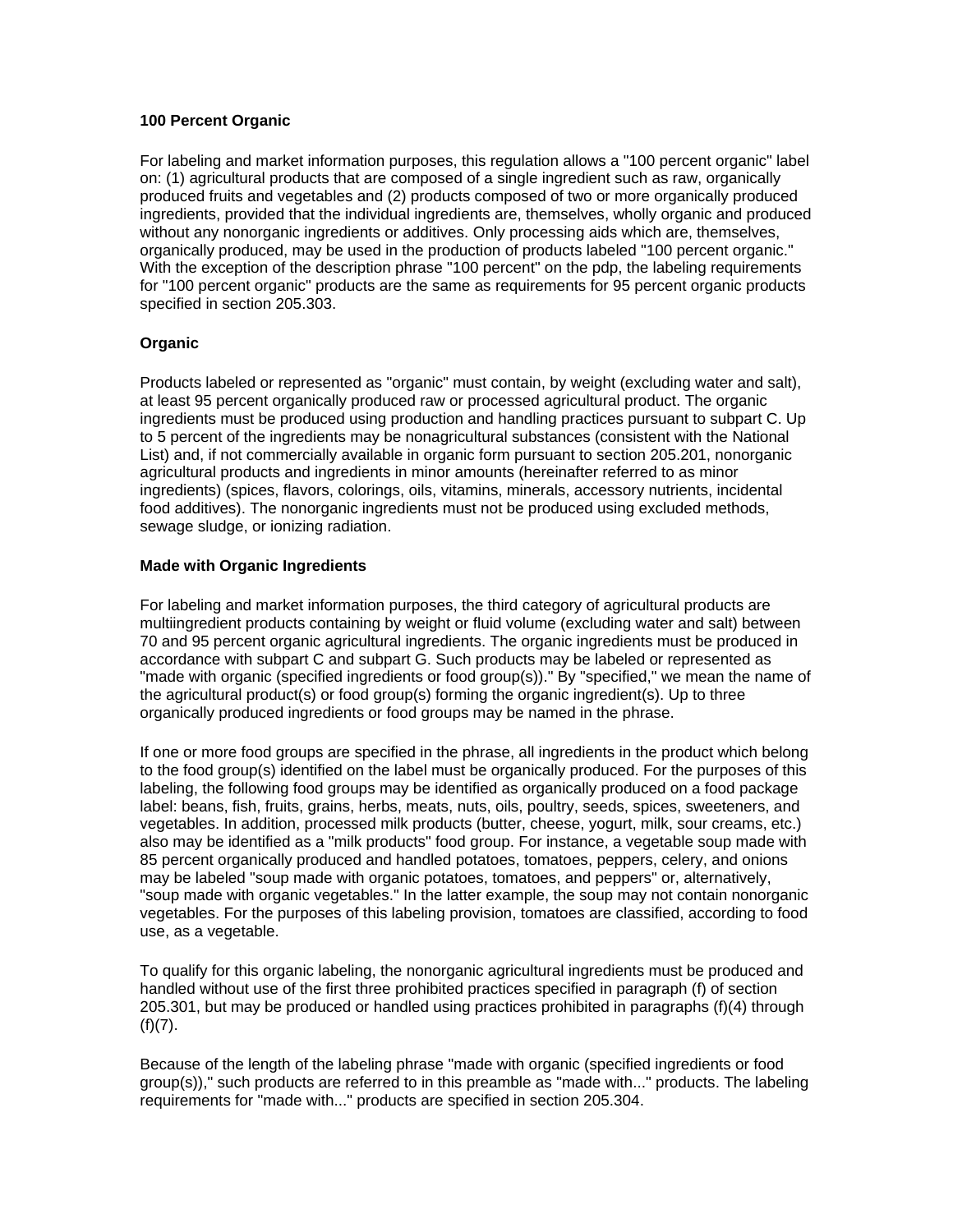# **100 Percent Organic**

For labeling and market information purposes, this regulation allows a "100 percent organic" label on: (1) agricultural products that are composed of a single ingredient such as raw, organically produced fruits and vegetables and (2) products composed of two or more organically produced ingredients, provided that the individual ingredients are, themselves, wholly organic and produced without any nonorganic ingredients or additives. Only processing aids which are, themselves, organically produced, may be used in the production of products labeled "100 percent organic." With the exception of the description phrase "100 percent" on the pdp, the labeling requirements for "100 percent organic" products are the same as requirements for 95 percent organic products specified in section 205.303.

# **Organic**

Products labeled or represented as "organic" must contain, by weight (excluding water and salt), at least 95 percent organically produced raw or processed agricultural product. The organic ingredients must be produced using production and handling practices pursuant to subpart C. Up to 5 percent of the ingredients may be nonagricultural substances (consistent with the National List) and, if not commercially available in organic form pursuant to section 205.201, nonorganic agricultural products and ingredients in minor amounts (hereinafter referred to as minor ingredients) (spices, flavors, colorings, oils, vitamins, minerals, accessory nutrients, incidental food additives). The nonorganic ingredients must not be produced using excluded methods, sewage sludge, or ionizing radiation.

# **Made with Organic Ingredients**

For labeling and market information purposes, the third category of agricultural products are multiingredient products containing by weight or fluid volume (excluding water and salt) between 70 and 95 percent organic agricultural ingredients. The organic ingredients must be produced in accordance with subpart C and subpart G. Such products may be labeled or represented as "made with organic (specified ingredients or food group(s))." By "specified," we mean the name of the agricultural product(s) or food group(s) forming the organic ingredient(s). Up to three organically produced ingredients or food groups may be named in the phrase.

If one or more food groups are specified in the phrase, all ingredients in the product which belong to the food group(s) identified on the label must be organically produced. For the purposes of this labeling, the following food groups may be identified as organically produced on a food package label: beans, fish, fruits, grains, herbs, meats, nuts, oils, poultry, seeds, spices, sweeteners, and vegetables. In addition, processed milk products (butter, cheese, yogurt, milk, sour creams, etc.) also may be identified as a "milk products" food group. For instance, a vegetable soup made with 85 percent organically produced and handled potatoes, tomatoes, peppers, celery, and onions may be labeled "soup made with organic potatoes, tomatoes, and peppers" or, alternatively, "soup made with organic vegetables." In the latter example, the soup may not contain nonorganic vegetables. For the purposes of this labeling provision, tomatoes are classified, according to food use, as a vegetable.

To qualify for this organic labeling, the nonorganic agricultural ingredients must be produced and handled without use of the first three prohibited practices specified in paragraph (f) of section 205.301, but may be produced or handled using practices prohibited in paragraphs (f)(4) through  $(f)(7)$ .

Because of the length of the labeling phrase "made with organic (specified ingredients or food group(s))," such products are referred to in this preamble as "made with..." products. The labeling requirements for "made with..." products are specified in section 205.304.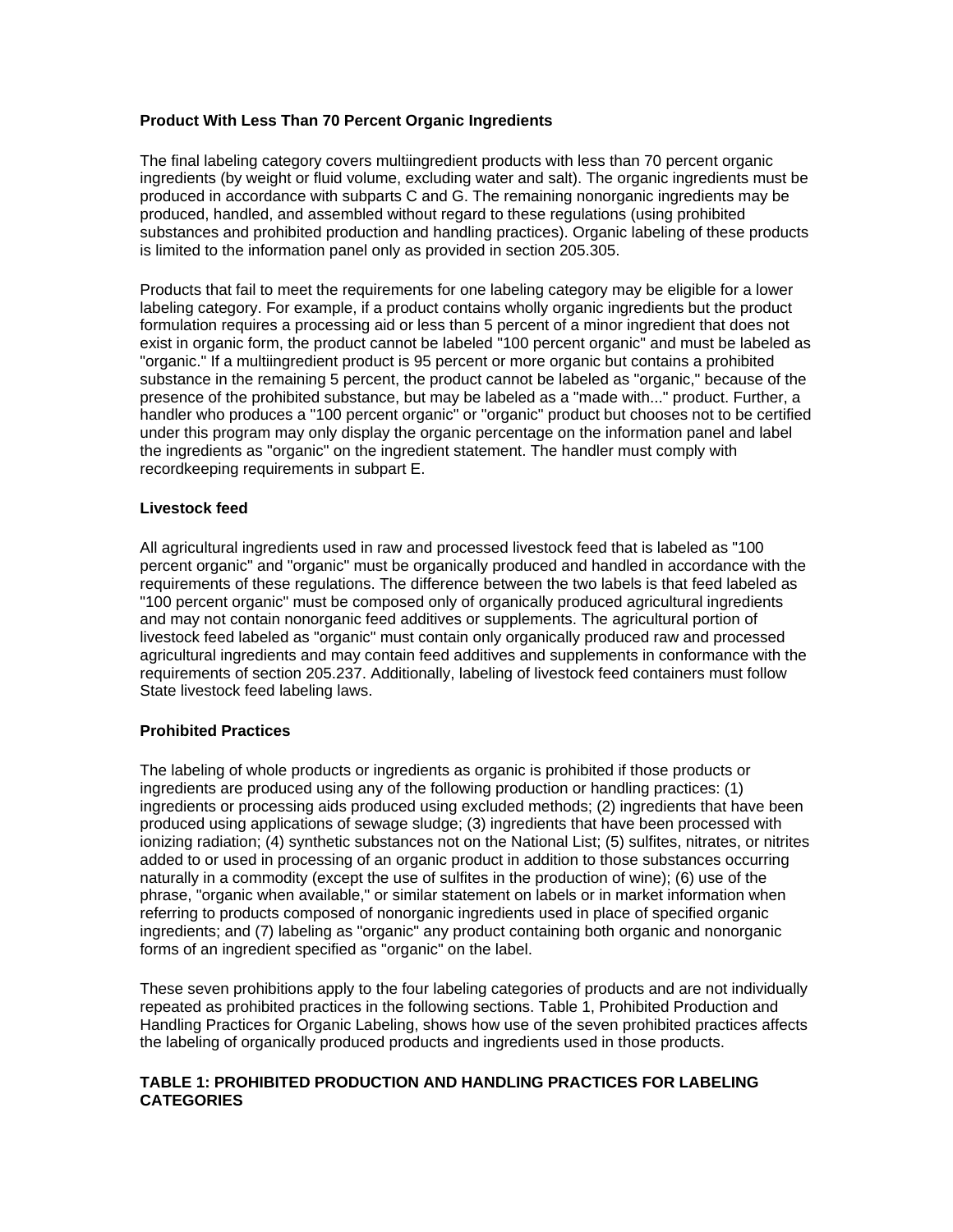# **Product With Less Than 70 Percent Organic Ingredients**

The final labeling category covers multiingredient products with less than 70 percent organic ingredients (by weight or fluid volume, excluding water and salt). The organic ingredients must be produced in accordance with subparts C and G. The remaining nonorganic ingredients may be produced, handled, and assembled without regard to these regulations (using prohibited substances and prohibited production and handling practices). Organic labeling of these products is limited to the information panel only as provided in section 205.305.

Products that fail to meet the requirements for one labeling category may be eligible for a lower labeling category. For example, if a product contains wholly organic ingredients but the product formulation requires a processing aid or less than 5 percent of a minor ingredient that does not exist in organic form, the product cannot be labeled "100 percent organic" and must be labeled as "organic." If a multiingredient product is 95 percent or more organic but contains a prohibited substance in the remaining 5 percent, the product cannot be labeled as "organic," because of the presence of the prohibited substance, but may be labeled as a "made with..." product. Further, a handler who produces a "100 percent organic" or "organic" product but chooses not to be certified under this program may only display the organic percentage on the information panel and label the ingredients as "organic" on the ingredient statement. The handler must comply with recordkeeping requirements in subpart E.

## **Livestock feed**

All agricultural ingredients used in raw and processed livestock feed that is labeled as "100 percent organic" and "organic" must be organically produced and handled in accordance with the requirements of these regulations. The difference between the two labels is that feed labeled as "100 percent organic" must be composed only of organically produced agricultural ingredients and may not contain nonorganic feed additives or supplements. The agricultural portion of livestock feed labeled as "organic" must contain only organically produced raw and processed agricultural ingredients and may contain feed additives and supplements in conformance with the requirements of section 205.237. Additionally, labeling of livestock feed containers must follow State livestock feed labeling laws.

## **Prohibited Practices**

The labeling of whole products or ingredients as organic is prohibited if those products or ingredients are produced using any of the following production or handling practices: (1) ingredients or processing aids produced using excluded methods; (2) ingredients that have been produced using applications of sewage sludge; (3) ingredients that have been processed with ionizing radiation; (4) synthetic substances not on the National List; (5) sulfites, nitrates, or nitrites added to or used in processing of an organic product in addition to those substances occurring naturally in a commodity (except the use of sulfites in the production of wine); (6) use of the phrase, "organic when available," or similar statement on labels or in market information when referring to products composed of nonorganic ingredients used in place of specified organic ingredients; and (7) labeling as "organic" any product containing both organic and nonorganic forms of an ingredient specified as "organic" on the label.

These seven prohibitions apply to the four labeling categories of products and are not individually repeated as prohibited practices in the following sections. Table 1, Prohibited Production and Handling Practices for Organic Labeling, shows how use of the seven prohibited practices affects the labeling of organically produced products and ingredients used in those products.

# **TABLE 1: PROHIBITED PRODUCTION AND HANDLING PRACTICES FOR LABELING CATEGORIES**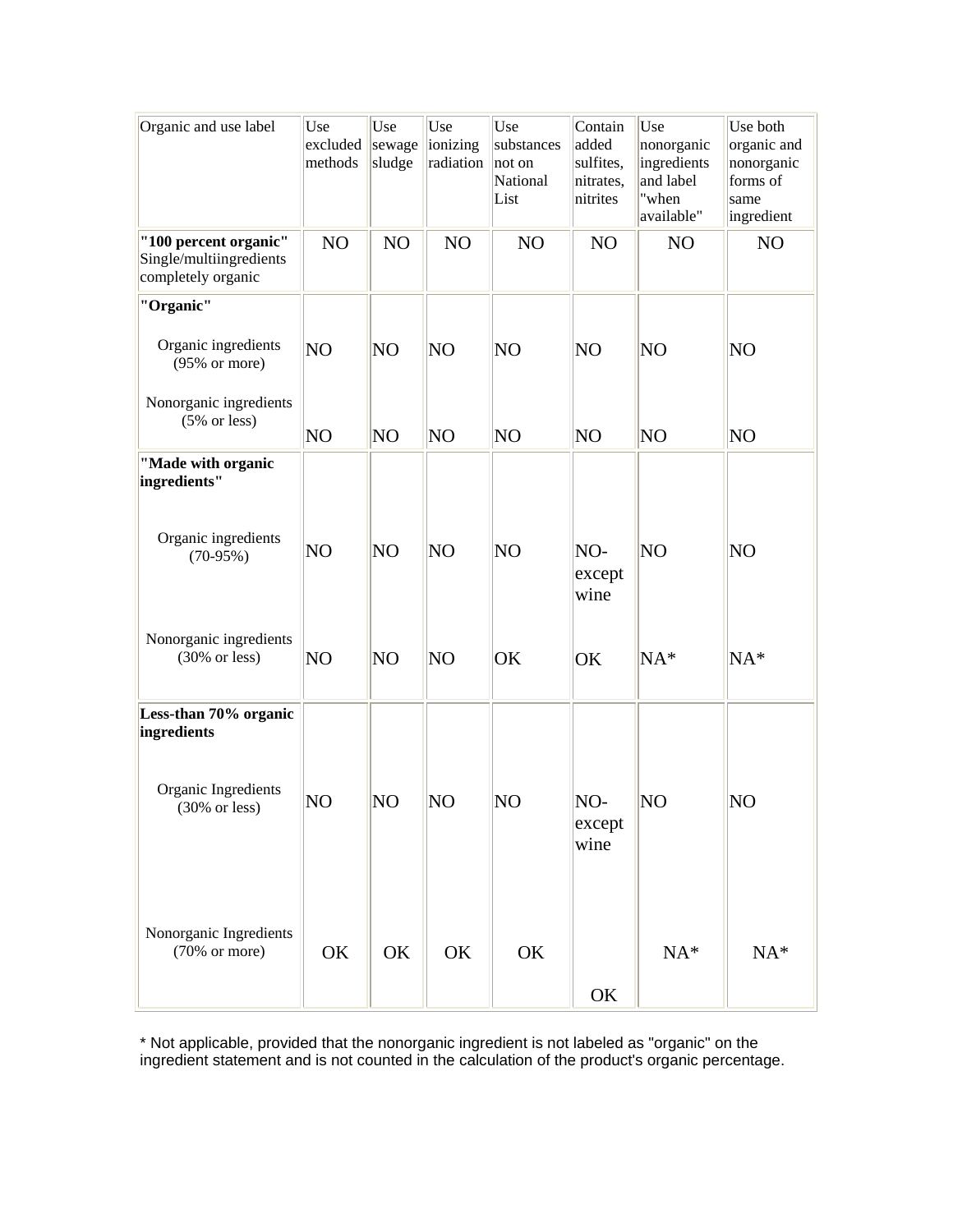| Organic and use label                                                  | Use<br>excluded<br>methods | Use<br>sewage<br>sludge | Use<br>ionizing<br>radiation | Use<br>substances<br>not on<br>National<br>List | Contain<br>added<br>sulfites,<br>nitrates,<br>nitrites | Use<br>nonorganic<br>ingredients<br>and label<br>"when<br>available" | Use both<br>organic and<br>nonorganic<br>forms of<br>same<br>ingredient |
|------------------------------------------------------------------------|----------------------------|-------------------------|------------------------------|-------------------------------------------------|--------------------------------------------------------|----------------------------------------------------------------------|-------------------------------------------------------------------------|
| "100 percent organic"<br>Single/multiingredients<br>completely organic | NO                         | NO                      | NO                           | NO                                              | N <sub>O</sub>                                         | N <sub>O</sub>                                                       | NO                                                                      |
| "Organic"                                                              |                            |                         |                              |                                                 |                                                        |                                                                      |                                                                         |
| Organic ingredients<br>$(95% \text{ or more})$                         | NO                         | NO <sub></sub>          | NO                           | NO <sub></sub>                                  | NO                                                     | NO                                                                   | NO                                                                      |
| Nonorganic ingredients<br>$(5% \text{ or less})$                       | NO                         | NO <sub></sub>          | NO                           | NO                                              | NO                                                     | NO                                                                   | N <sub>O</sub>                                                          |
| "Made with organic<br>ingredients"                                     |                            |                         |                              |                                                 |                                                        |                                                                      |                                                                         |
| Organic ingredients<br>$(70-95%)$                                      | NO                         | NO                      | NO                           | NO <sub></sub>                                  | NO-<br>except<br>wine                                  | NO                                                                   | N <sub>O</sub>                                                          |
| Nonorganic ingredients<br>$(30\% \text{ or less})$                     | NO                         | NO <sub></sub>          | NO <sub></sub>               | OK                                              | OK                                                     | $NA*$                                                                | $NA*$                                                                   |
| Less-than 70% organic<br>ingredients                                   |                            |                         |                              |                                                 |                                                        |                                                                      |                                                                         |
| Organic Ingredients<br>$(30\% \text{ or less})$                        | NO                         | NO                      | NO                           | NO                                              | NO-<br>except<br>wine                                  | NO                                                                   | NO                                                                      |
| Nonorganic Ingredients<br>$(70\% \text{ or more})$                     | OK                         | OK                      | OK                           | OK                                              | OK                                                     | $NA*$                                                                | $NA*$                                                                   |

\* Not applicable, provided that the nonorganic ingredient is not labeled as "organic" on the ingredient statement and is not counted in the calculation of the product's organic percentage.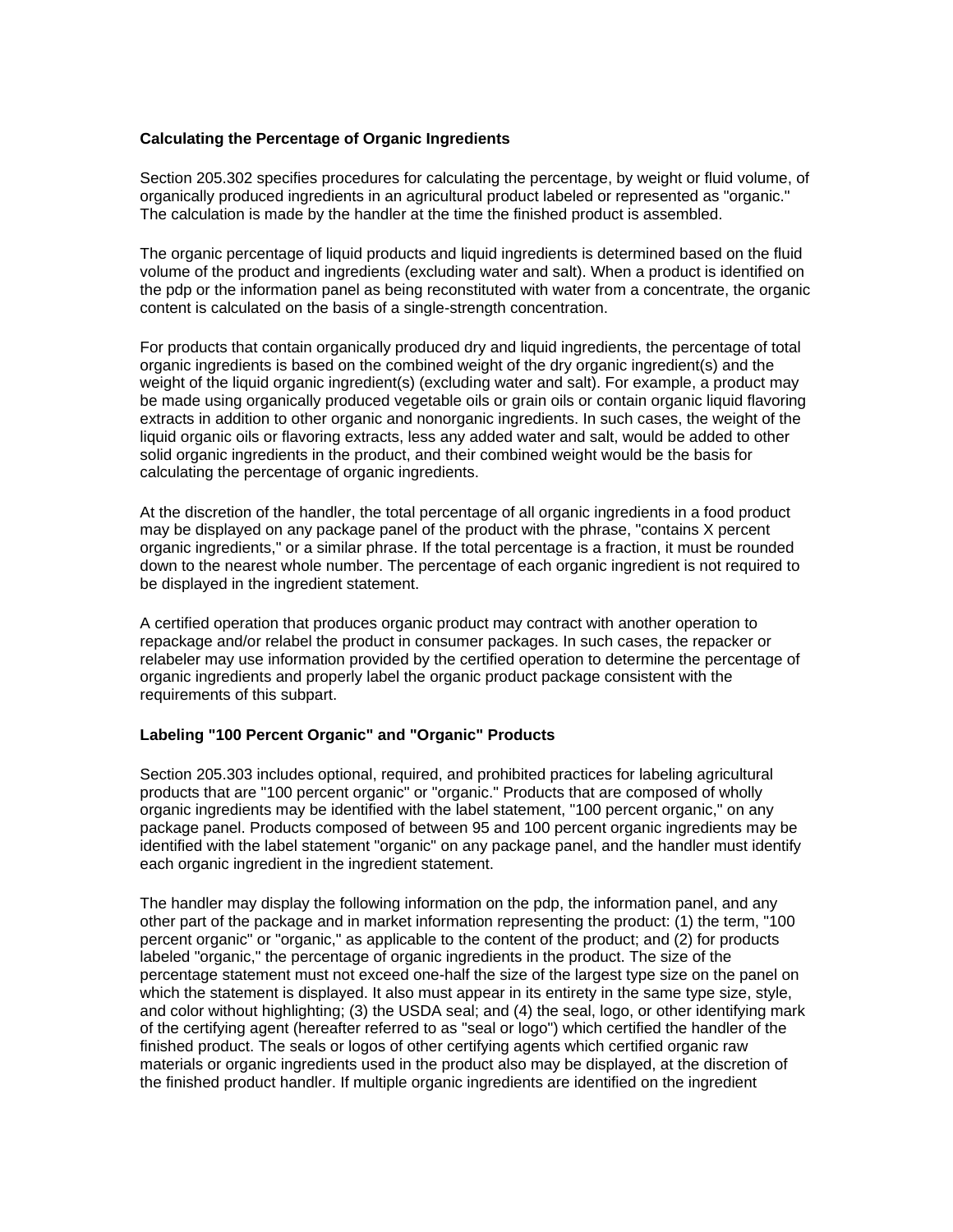# **Calculating the Percentage of Organic Ingredients**

Section 205.302 specifies procedures for calculating the percentage, by weight or fluid volume, of organically produced ingredients in an agricultural product labeled or represented as "organic." The calculation is made by the handler at the time the finished product is assembled.

The organic percentage of liquid products and liquid ingredients is determined based on the fluid volume of the product and ingredients (excluding water and salt). When a product is identified on the pdp or the information panel as being reconstituted with water from a concentrate, the organic content is calculated on the basis of a single-strength concentration.

For products that contain organically produced dry and liquid ingredients, the percentage of total organic ingredients is based on the combined weight of the dry organic ingredient(s) and the weight of the liquid organic ingredient(s) (excluding water and salt). For example, a product may be made using organically produced vegetable oils or grain oils or contain organic liquid flavoring extracts in addition to other organic and nonorganic ingredients. In such cases, the weight of the liquid organic oils or flavoring extracts, less any added water and salt, would be added to other solid organic ingredients in the product, and their combined weight would be the basis for calculating the percentage of organic ingredients.

At the discretion of the handler, the total percentage of all organic ingredients in a food product may be displayed on any package panel of the product with the phrase, "contains X percent organic ingredients," or a similar phrase. If the total percentage is a fraction, it must be rounded down to the nearest whole number. The percentage of each organic ingredient is not required to be displayed in the ingredient statement.

A certified operation that produces organic product may contract with another operation to repackage and/or relabel the product in consumer packages. In such cases, the repacker or relabeler may use information provided by the certified operation to determine the percentage of organic ingredients and properly label the organic product package consistent with the requirements of this subpart.

## **Labeling "100 Percent Organic" and "Organic" Products**

Section 205.303 includes optional, required, and prohibited practices for labeling agricultural products that are "100 percent organic" or "organic." Products that are composed of wholly organic ingredients may be identified with the label statement, "100 percent organic," on any package panel. Products composed of between 95 and 100 percent organic ingredients may be identified with the label statement "organic" on any package panel, and the handler must identify each organic ingredient in the ingredient statement.

The handler may display the following information on the pdp, the information panel, and any other part of the package and in market information representing the product: (1) the term, "100 percent organic" or "organic," as applicable to the content of the product; and (2) for products labeled "organic," the percentage of organic ingredients in the product. The size of the percentage statement must not exceed one-half the size of the largest type size on the panel on which the statement is displayed. It also must appear in its entirety in the same type size, style, and color without highlighting; (3) the USDA seal; and (4) the seal, logo, or other identifying mark of the certifying agent (hereafter referred to as "seal or logo") which certified the handler of the finished product. The seals or logos of other certifying agents which certified organic raw materials or organic ingredients used in the product also may be displayed, at the discretion of the finished product handler. If multiple organic ingredients are identified on the ingredient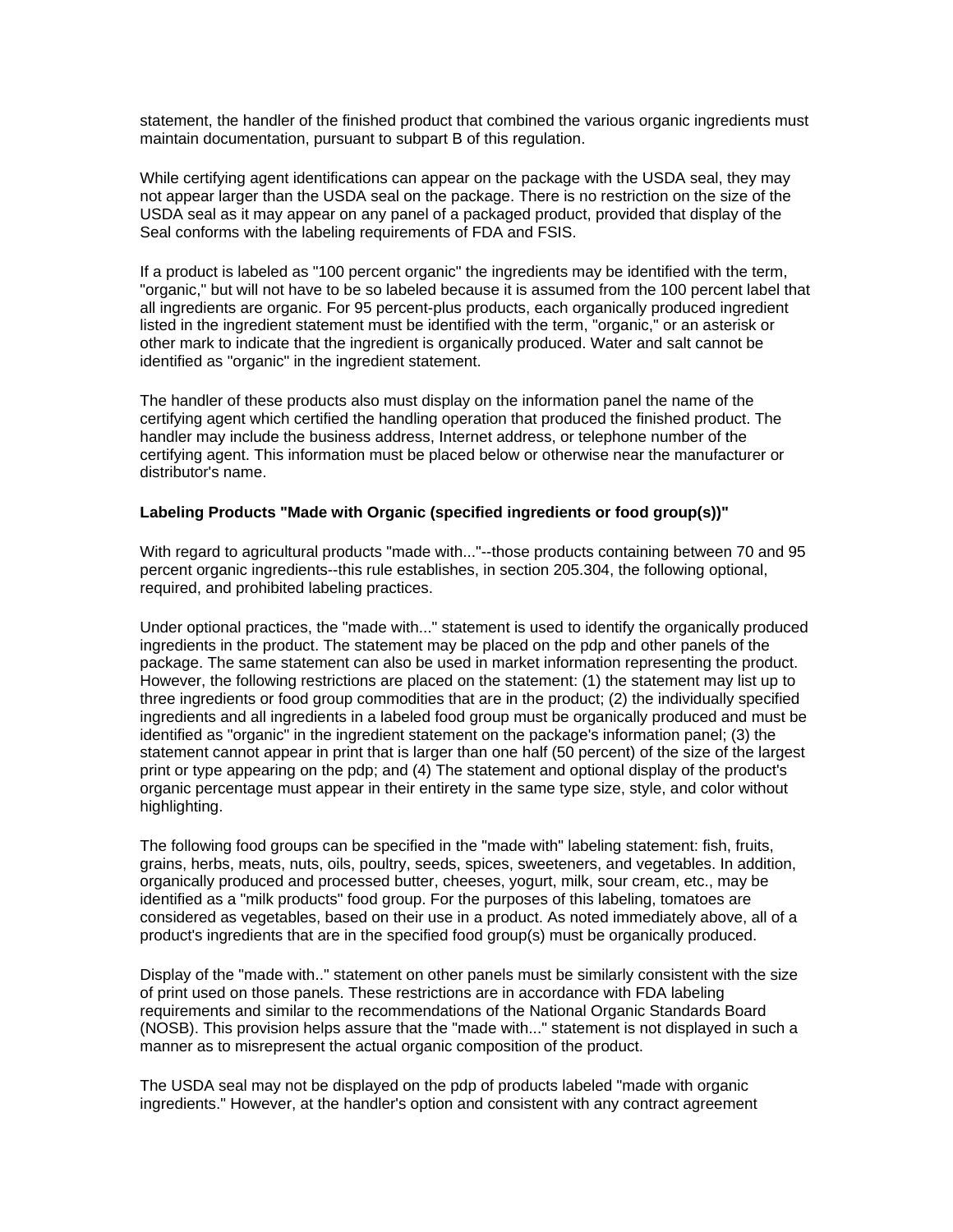statement, the handler of the finished product that combined the various organic ingredients must maintain documentation, pursuant to subpart B of this regulation.

While certifying agent identifications can appear on the package with the USDA seal, they may not appear larger than the USDA seal on the package. There is no restriction on the size of the USDA seal as it may appear on any panel of a packaged product, provided that display of the Seal conforms with the labeling requirements of FDA and FSIS.

If a product is labeled as "100 percent organic" the ingredients may be identified with the term, "organic," but will not have to be so labeled because it is assumed from the 100 percent label that all ingredients are organic. For 95 percent-plus products, each organically produced ingredient listed in the ingredient statement must be identified with the term, "organic," or an asterisk or other mark to indicate that the ingredient is organically produced. Water and salt cannot be identified as "organic" in the ingredient statement.

The handler of these products also must display on the information panel the name of the certifying agent which certified the handling operation that produced the finished product. The handler may include the business address, Internet address, or telephone number of the certifying agent. This information must be placed below or otherwise near the manufacturer or distributor's name.

#### **Labeling Products "Made with Organic (specified ingredients or food group(s))"**

With regard to agricultural products "made with..."--those products containing between 70 and 95 percent organic ingredients--this rule establishes, in section 205.304, the following optional, required, and prohibited labeling practices.

Under optional practices, the "made with..." statement is used to identify the organically produced ingredients in the product. The statement may be placed on the pdp and other panels of the package. The same statement can also be used in market information representing the product. However, the following restrictions are placed on the statement: (1) the statement may list up to three ingredients or food group commodities that are in the product; (2) the individually specified ingredients and all ingredients in a labeled food group must be organically produced and must be identified as "organic" in the ingredient statement on the package's information panel; (3) the statement cannot appear in print that is larger than one half (50 percent) of the size of the largest print or type appearing on the pdp; and (4) The statement and optional display of the product's organic percentage must appear in their entirety in the same type size, style, and color without highlighting.

The following food groups can be specified in the "made with" labeling statement: fish, fruits, grains, herbs, meats, nuts, oils, poultry, seeds, spices, sweeteners, and vegetables. In addition, organically produced and processed butter, cheeses, yogurt, milk, sour cream, etc., may be identified as a "milk products" food group. For the purposes of this labeling, tomatoes are considered as vegetables, based on their use in a product. As noted immediately above, all of a product's ingredients that are in the specified food group(s) must be organically produced.

Display of the "made with.." statement on other panels must be similarly consistent with the size of print used on those panels. These restrictions are in accordance with FDA labeling requirements and similar to the recommendations of the National Organic Standards Board (NOSB). This provision helps assure that the "made with..." statement is not displayed in such a manner as to misrepresent the actual organic composition of the product.

The USDA seal may not be displayed on the pdp of products labeled "made with organic ingredients." However, at the handler's option and consistent with any contract agreement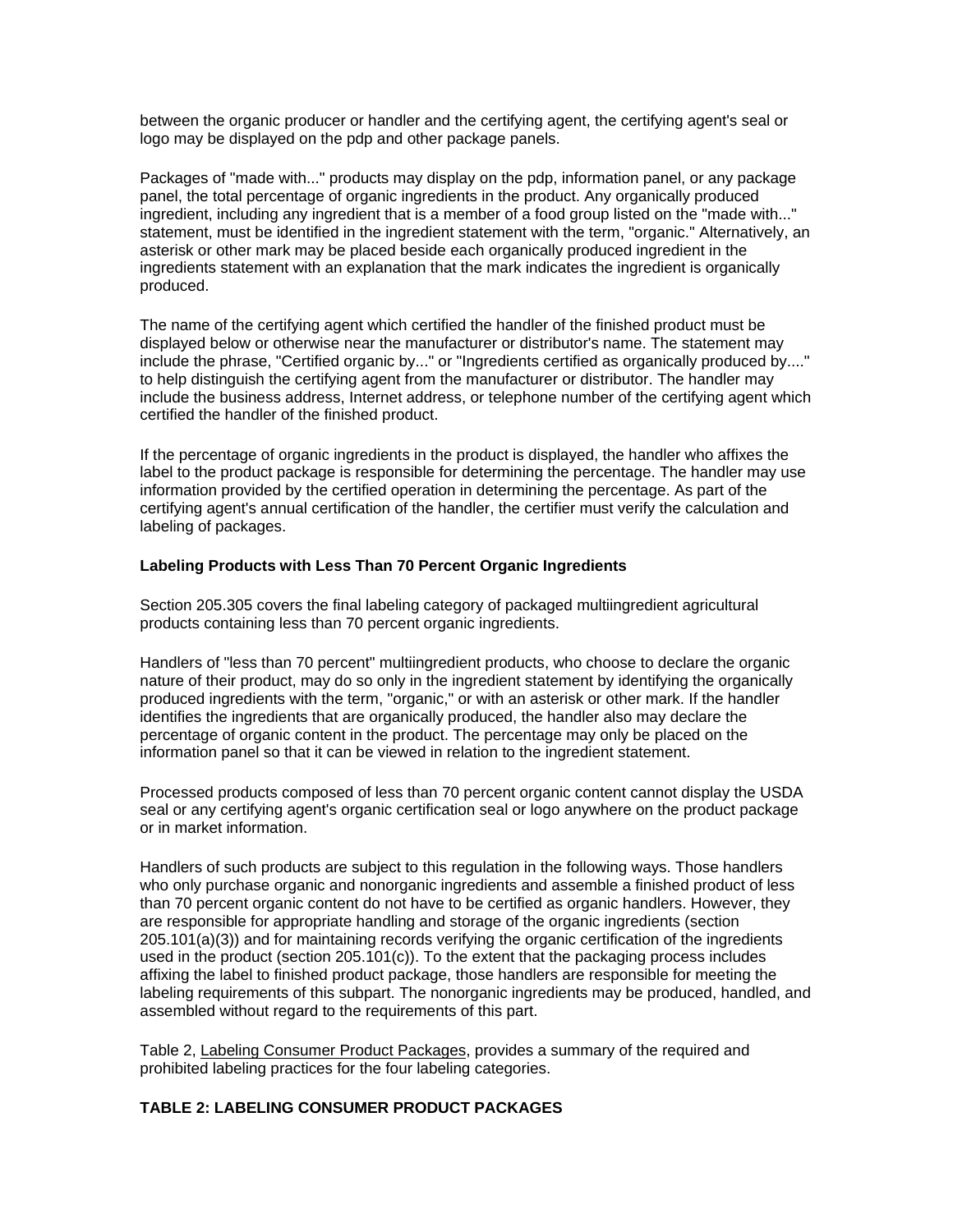between the organic producer or handler and the certifying agent, the certifying agent's seal or logo may be displayed on the pdp and other package panels.

Packages of "made with..." products may display on the pdp, information panel, or any package panel, the total percentage of organic ingredients in the product. Any organically produced ingredient, including any ingredient that is a member of a food group listed on the "made with..." statement, must be identified in the ingredient statement with the term, "organic." Alternatively, an asterisk or other mark may be placed beside each organically produced ingredient in the ingredients statement with an explanation that the mark indicates the ingredient is organically produced.

The name of the certifying agent which certified the handler of the finished product must be displayed below or otherwise near the manufacturer or distributor's name. The statement may include the phrase, "Certified organic by..." or "Ingredients certified as organically produced by...." to help distinguish the certifying agent from the manufacturer or distributor. The handler may include the business address, Internet address, or telephone number of the certifying agent which certified the handler of the finished product.

If the percentage of organic ingredients in the product is displayed, the handler who affixes the label to the product package is responsible for determining the percentage. The handler may use information provided by the certified operation in determining the percentage. As part of the certifying agent's annual certification of the handler, the certifier must verify the calculation and labeling of packages.

#### **Labeling Products with Less Than 70 Percent Organic Ingredients**

Section 205.305 covers the final labeling category of packaged multiingredient agricultural products containing less than 70 percent organic ingredients.

Handlers of "less than 70 percent" multiingredient products, who choose to declare the organic nature of their product, may do so only in the ingredient statement by identifying the organically produced ingredients with the term, "organic," or with an asterisk or other mark. If the handler identifies the ingredients that are organically produced, the handler also may declare the percentage of organic content in the product. The percentage may only be placed on the information panel so that it can be viewed in relation to the ingredient statement.

Processed products composed of less than 70 percent organic content cannot display the USDA seal or any certifying agent's organic certification seal or logo anywhere on the product package or in market information.

Handlers of such products are subject to this regulation in the following ways. Those handlers who only purchase organic and nonorganic ingredients and assemble a finished product of less than 70 percent organic content do not have to be certified as organic handlers. However, they are responsible for appropriate handling and storage of the organic ingredients (section 205.101(a)(3)) and for maintaining records verifying the organic certification of the ingredients used in the product (section 205.101(c)). To the extent that the packaging process includes affixing the label to finished product package, those handlers are responsible for meeting the labeling requirements of this subpart. The nonorganic ingredients may be produced, handled, and assembled without regard to the requirements of this part.

Table 2, Labeling Consumer Product Packages, provides a summary of the required and prohibited labeling practices for the four labeling categories.

# **TABLE 2: LABELING CONSUMER PRODUCT PACKAGES**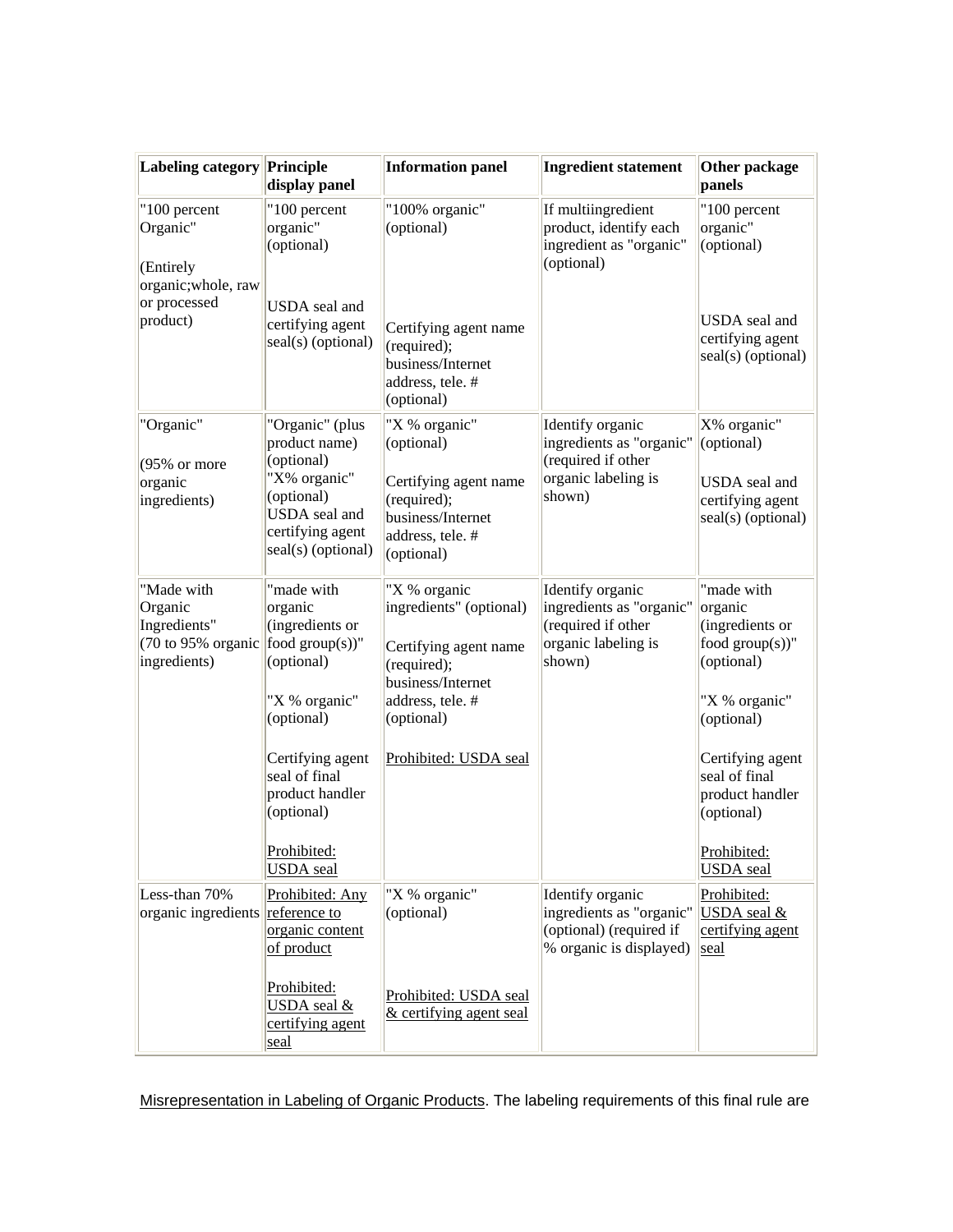| Labeling category Principle                                                                 | display panel                                                                                       | <b>Information panel</b>                                                                    | <b>Ingredient statement</b>                                                                         | Other package<br>panels                                                      |
|---------------------------------------------------------------------------------------------|-----------------------------------------------------------------------------------------------------|---------------------------------------------------------------------------------------------|-----------------------------------------------------------------------------------------------------|------------------------------------------------------------------------------|
| "100 percent<br>Organic"<br>(Entirely<br>organic; whole, raw<br>or processed                | "100 percent<br>organic"<br>(optional)<br>USDA seal and                                             | "100% organic"<br>(optional)                                                                | If multiingredient<br>product, identify each<br>ingredient as "organic"<br>(optional)               | "100 percent<br>organic"<br>(optional)                                       |
| product)                                                                                    | certifying agent<br>seal(s) (optional)                                                              | Certifying agent name<br>(required);<br>business/Internet<br>address, tele. #<br>(optional) |                                                                                                     | USDA seal and<br>certifying agent<br>seal(s) (optional)                      |
| "Organic"                                                                                   | "Organic" (plus<br>product name)                                                                    | "X % organic"<br>(optional)                                                                 | Identify organic<br>ingredients as "organic"                                                        | X% organic"<br>(optional)                                                    |
| $(95\% \text{ or more})$<br>organic<br>ingredients)                                         | (optional)<br>"X% organic"<br>(optional)<br>USDA seal and<br>certifying agent<br>seal(s) (optional) | Certifying agent name<br>(required);<br>business/Internet<br>address, tele. #<br>(optional) | (required if other<br>organic labeling is<br>shown)                                                 | USDA seal and<br>certifying agent<br>seal(s) (optional)                      |
| "Made with<br>Organic<br>Ingredients"<br>(70 to 95% organic food group(s))"<br>ingredients) | "made with<br>organic<br>(ingredients or<br>(optional)                                              | "X % organic<br>ingredients" (optional)<br>Certifying agent name<br>(required);             | Identify organic<br>ingredients as "organic"<br>(required if other<br>organic labeling is<br>shown) | "made with<br>organic<br>(ingredients or<br>food $group(s))$ "<br>(optional) |
|                                                                                             | "X % organic"<br>(optional)                                                                         | business/Internet<br>address, tele. #<br>(optional)                                         |                                                                                                     | "X % organic"<br>(optional)                                                  |
|                                                                                             | Certifying agent<br>seal of final<br>product handler<br>(optional)                                  | Prohibited: USDA seal                                                                       |                                                                                                     | Certifying agent<br>seal of final<br>product handler<br>(optional)           |
|                                                                                             | Prohibited:<br><b>USDA</b> seal                                                                     |                                                                                             |                                                                                                     | Prohibited:<br><b>USDA</b> seal                                              |
| Less-than 70%<br>organic ingredients reference to                                           | Prohibited: Any<br>organic content<br>of product                                                    | "X % organic"<br>(optional)                                                                 | Identify organic<br>ingredients as "organic"<br>(optional) (required if<br>% organic is displayed)  | Prohibited:<br>USDA seal &<br>certifying agent<br>seal                       |
|                                                                                             | Prohibited:<br>USDA seal &<br>certifying agent<br>seal                                              | Prohibited: USDA seal<br>& certifying agent seal                                            |                                                                                                     |                                                                              |

Misrepresentation in Labeling of Organic Products. The labeling requirements of this final rule are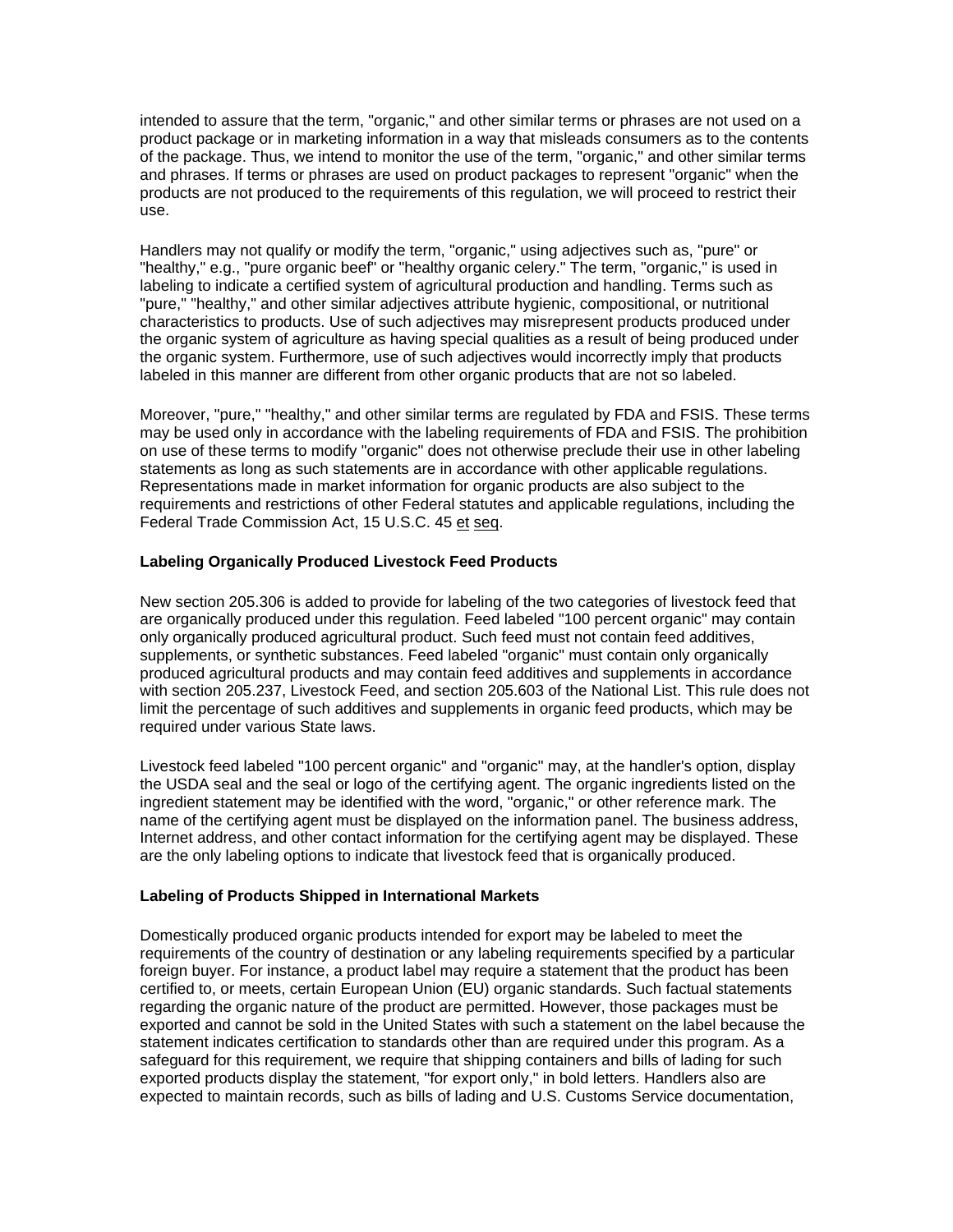intended to assure that the term, "organic," and other similar terms or phrases are not used on a product package or in marketing information in a way that misleads consumers as to the contents of the package. Thus, we intend to monitor the use of the term, "organic," and other similar terms and phrases. If terms or phrases are used on product packages to represent "organic" when the products are not produced to the requirements of this regulation, we will proceed to restrict their use.

Handlers may not qualify or modify the term, "organic," using adjectives such as, "pure" or "healthy," e.g., "pure organic beef" or "healthy organic celery." The term, "organic," is used in labeling to indicate a certified system of agricultural production and handling. Terms such as "pure," "healthy," and other similar adjectives attribute hygienic, compositional, or nutritional characteristics to products. Use of such adjectives may misrepresent products produced under the organic system of agriculture as having special qualities as a result of being produced under the organic system. Furthermore, use of such adjectives would incorrectly imply that products labeled in this manner are different from other organic products that are not so labeled.

Moreover, "pure," "healthy," and other similar terms are regulated by FDA and FSIS. These terms may be used only in accordance with the labeling requirements of FDA and FSIS. The prohibition on use of these terms to modify "organic" does not otherwise preclude their use in other labeling statements as long as such statements are in accordance with other applicable regulations. Representations made in market information for organic products are also subject to the requirements and restrictions of other Federal statutes and applicable regulations, including the Federal Trade Commission Act, 15 U.S.C. 45 et seq.

# **Labeling Organically Produced Livestock Feed Products**

New section 205.306 is added to provide for labeling of the two categories of livestock feed that are organically produced under this regulation. Feed labeled "100 percent organic" may contain only organically produced agricultural product. Such feed must not contain feed additives, supplements, or synthetic substances. Feed labeled "organic" must contain only organically produced agricultural products and may contain feed additives and supplements in accordance with section 205.237, Livestock Feed, and section 205.603 of the National List. This rule does not limit the percentage of such additives and supplements in organic feed products, which may be required under various State laws.

Livestock feed labeled "100 percent organic" and "organic" may, at the handler's option, display the USDA seal and the seal or logo of the certifying agent. The organic ingredients listed on the ingredient statement may be identified with the word, "organic," or other reference mark. The name of the certifying agent must be displayed on the information panel. The business address, Internet address, and other contact information for the certifying agent may be displayed. These are the only labeling options to indicate that livestock feed that is organically produced.

## **Labeling of Products Shipped in International Markets**

Domestically produced organic products intended for export may be labeled to meet the requirements of the country of destination or any labeling requirements specified by a particular foreign buyer. For instance, a product label may require a statement that the product has been certified to, or meets, certain European Union (EU) organic standards. Such factual statements regarding the organic nature of the product are permitted. However, those packages must be exported and cannot be sold in the United States with such a statement on the label because the statement indicates certification to standards other than are required under this program. As a safeguard for this requirement, we require that shipping containers and bills of lading for such exported products display the statement, "for export only," in bold letters. Handlers also are expected to maintain records, such as bills of lading and U.S. Customs Service documentation,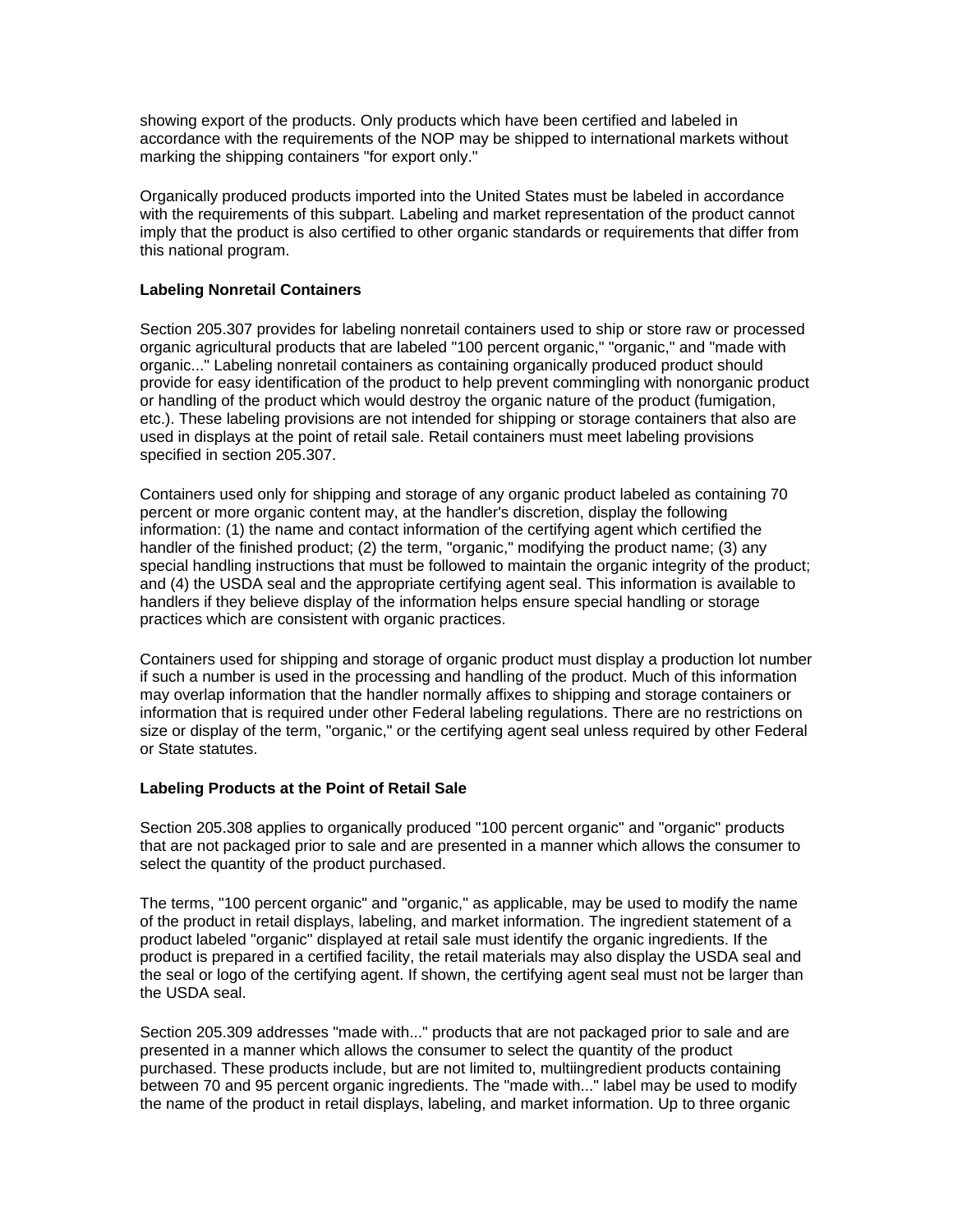showing export of the products. Only products which have been certified and labeled in accordance with the requirements of the NOP may be shipped to international markets without marking the shipping containers "for export only."

Organically produced products imported into the United States must be labeled in accordance with the requirements of this subpart. Labeling and market representation of the product cannot imply that the product is also certified to other organic standards or requirements that differ from this national program.

# **Labeling Nonretail Containers**

Section 205.307 provides for labeling nonretail containers used to ship or store raw or processed organic agricultural products that are labeled "100 percent organic," "organic," and "made with organic..." Labeling nonretail containers as containing organically produced product should provide for easy identification of the product to help prevent commingling with nonorganic product or handling of the product which would destroy the organic nature of the product (fumigation, etc.). These labeling provisions are not intended for shipping or storage containers that also are used in displays at the point of retail sale. Retail containers must meet labeling provisions specified in section 205.307.

Containers used only for shipping and storage of any organic product labeled as containing 70 percent or more organic content may, at the handler's discretion, display the following information: (1) the name and contact information of the certifying agent which certified the handler of the finished product; (2) the term, "organic," modifying the product name; (3) any special handling instructions that must be followed to maintain the organic integrity of the product; and (4) the USDA seal and the appropriate certifying agent seal. This information is available to handlers if they believe display of the information helps ensure special handling or storage practices which are consistent with organic practices.

Containers used for shipping and storage of organic product must display a production lot number if such a number is used in the processing and handling of the product. Much of this information may overlap information that the handler normally affixes to shipping and storage containers or information that is required under other Federal labeling regulations. There are no restrictions on size or display of the term, "organic," or the certifying agent seal unless required by other Federal or State statutes.

# **Labeling Products at the Point of Retail Sale**

Section 205.308 applies to organically produced "100 percent organic" and "organic" products that are not packaged prior to sale and are presented in a manner which allows the consumer to select the quantity of the product purchased.

The terms, "100 percent organic" and "organic," as applicable, may be used to modify the name of the product in retail displays, labeling, and market information. The ingredient statement of a product labeled "organic" displayed at retail sale must identify the organic ingredients. If the product is prepared in a certified facility, the retail materials may also display the USDA seal and the seal or logo of the certifying agent. If shown, the certifying agent seal must not be larger than the USDA seal.

Section 205.309 addresses "made with..." products that are not packaged prior to sale and are presented in a manner which allows the consumer to select the quantity of the product purchased. These products include, but are not limited to, multiingredient products containing between 70 and 95 percent organic ingredients. The "made with..." label may be used to modify the name of the product in retail displays, labeling, and market information. Up to three organic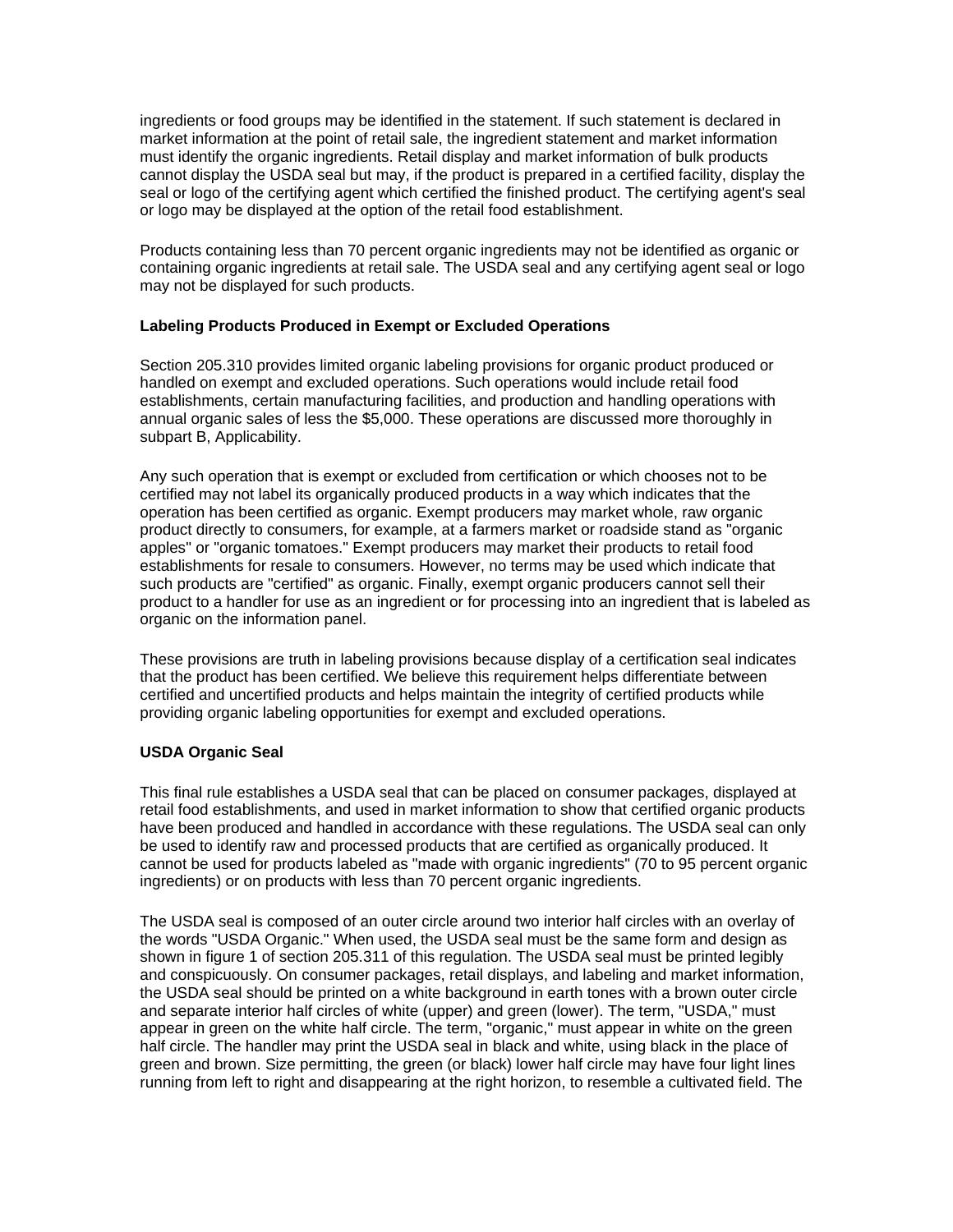ingredients or food groups may be identified in the statement. If such statement is declared in market information at the point of retail sale, the ingredient statement and market information must identify the organic ingredients. Retail display and market information of bulk products cannot display the USDA seal but may, if the product is prepared in a certified facility, display the seal or logo of the certifying agent which certified the finished product. The certifying agent's seal or logo may be displayed at the option of the retail food establishment.

Products containing less than 70 percent organic ingredients may not be identified as organic or containing organic ingredients at retail sale. The USDA seal and any certifying agent seal or logo may not be displayed for such products.

# **Labeling Products Produced in Exempt or Excluded Operations**

Section 205.310 provides limited organic labeling provisions for organic product produced or handled on exempt and excluded operations. Such operations would include retail food establishments, certain manufacturing facilities, and production and handling operations with annual organic sales of less the \$5,000. These operations are discussed more thoroughly in subpart B, Applicability.

Any such operation that is exempt or excluded from certification or which chooses not to be certified may not label its organically produced products in a way which indicates that the operation has been certified as organic. Exempt producers may market whole, raw organic product directly to consumers, for example, at a farmers market or roadside stand as "organic apples" or "organic tomatoes." Exempt producers may market their products to retail food establishments for resale to consumers. However, no terms may be used which indicate that such products are "certified" as organic. Finally, exempt organic producers cannot sell their product to a handler for use as an ingredient or for processing into an ingredient that is labeled as organic on the information panel.

These provisions are truth in labeling provisions because display of a certification seal indicates that the product has been certified. We believe this requirement helps differentiate between certified and uncertified products and helps maintain the integrity of certified products while providing organic labeling opportunities for exempt and excluded operations.

## **USDA Organic Seal**

This final rule establishes a USDA seal that can be placed on consumer packages, displayed at retail food establishments, and used in market information to show that certified organic products have been produced and handled in accordance with these regulations. The USDA seal can only be used to identify raw and processed products that are certified as organically produced. It cannot be used for products labeled as "made with organic ingredients" (70 to 95 percent organic ingredients) or on products with less than 70 percent organic ingredients.

The USDA seal is composed of an outer circle around two interior half circles with an overlay of the words "USDA Organic." When used, the USDA seal must be the same form and design as shown in figure 1 of section 205.311 of this regulation. The USDA seal must be printed legibly and conspicuously. On consumer packages, retail displays, and labeling and market information, the USDA seal should be printed on a white background in earth tones with a brown outer circle and separate interior half circles of white (upper) and green (lower). The term, "USDA," must appear in green on the white half circle. The term, "organic," must appear in white on the green half circle. The handler may print the USDA seal in black and white, using black in the place of green and brown. Size permitting, the green (or black) lower half circle may have four light lines running from left to right and disappearing at the right horizon, to resemble a cultivated field. The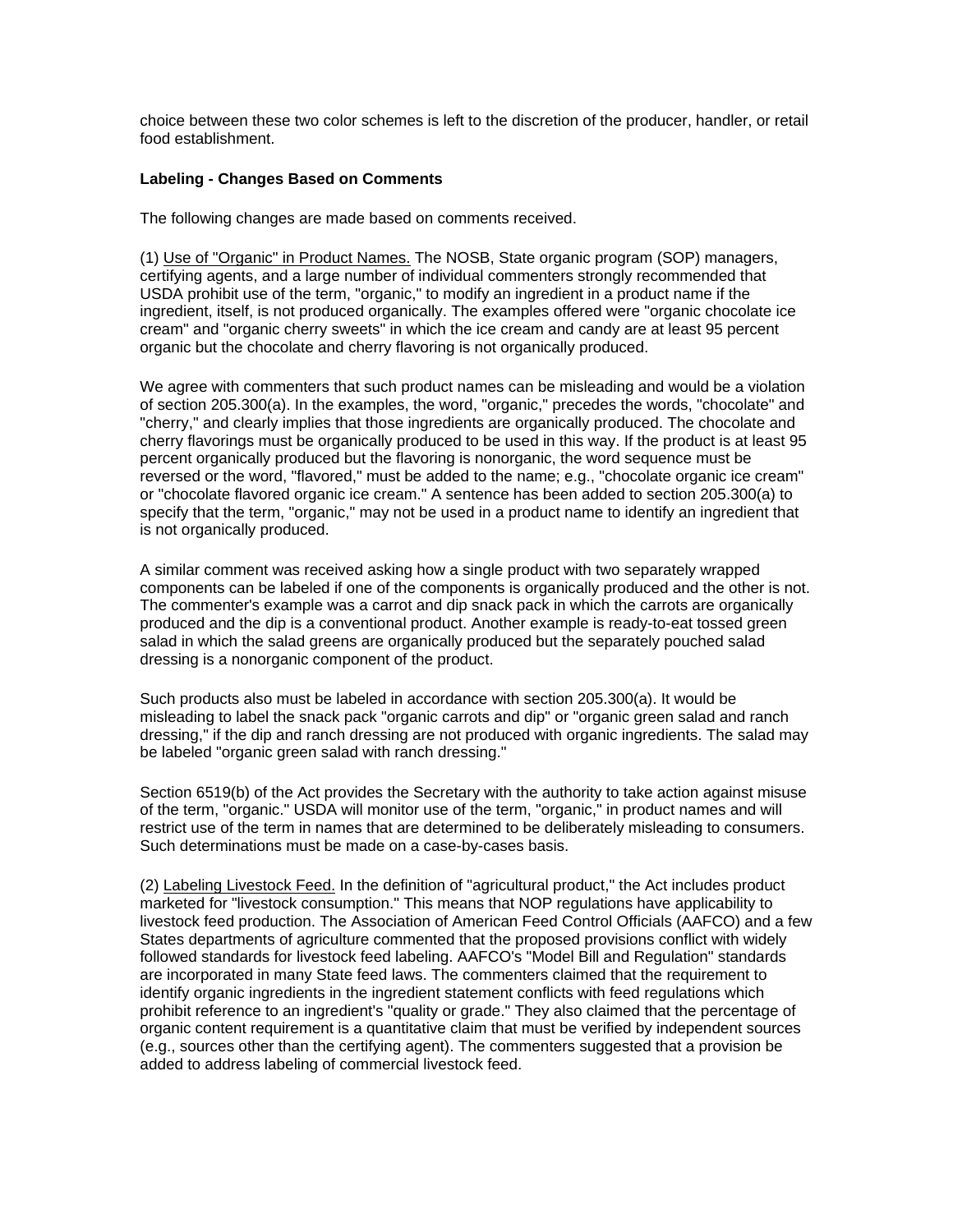choice between these two color schemes is left to the discretion of the producer, handler, or retail food establishment.

# **Labeling - Changes Based on Comments**

The following changes are made based on comments received.

(1) Use of "Organic" in Product Names. The NOSB, State organic program (SOP) managers, certifying agents, and a large number of individual commenters strongly recommended that USDA prohibit use of the term, "organic," to modify an ingredient in a product name if the ingredient, itself, is not produced organically. The examples offered were "organic chocolate ice cream" and "organic cherry sweets" in which the ice cream and candy are at least 95 percent organic but the chocolate and cherry flavoring is not organically produced.

We agree with commenters that such product names can be misleading and would be a violation of section 205.300(a). In the examples, the word, "organic," precedes the words, "chocolate" and "cherry," and clearly implies that those ingredients are organically produced. The chocolate and cherry flavorings must be organically produced to be used in this way. If the product is at least 95 percent organically produced but the flavoring is nonorganic, the word sequence must be reversed or the word, "flavored," must be added to the name; e.g., "chocolate organic ice cream" or "chocolate flavored organic ice cream." A sentence has been added to section 205.300(a) to specify that the term, "organic," may not be used in a product name to identify an ingredient that is not organically produced.

A similar comment was received asking how a single product with two separately wrapped components can be labeled if one of the components is organically produced and the other is not. The commenter's example was a carrot and dip snack pack in which the carrots are organically produced and the dip is a conventional product. Another example is ready-to-eat tossed green salad in which the salad greens are organically produced but the separately pouched salad dressing is a nonorganic component of the product.

Such products also must be labeled in accordance with section 205.300(a). It would be misleading to label the snack pack "organic carrots and dip" or "organic green salad and ranch dressing," if the dip and ranch dressing are not produced with organic ingredients. The salad may be labeled "organic green salad with ranch dressing."

Section 6519(b) of the Act provides the Secretary with the authority to take action against misuse of the term, "organic." USDA will monitor use of the term, "organic," in product names and will restrict use of the term in names that are determined to be deliberately misleading to consumers. Such determinations must be made on a case-by-cases basis.

(2) Labeling Livestock Feed. In the definition of "agricultural product," the Act includes product marketed for "livestock consumption." This means that NOP regulations have applicability to livestock feed production. The Association of American Feed Control Officials (AAFCO) and a few States departments of agriculture commented that the proposed provisions conflict with widely followed standards for livestock feed labeling. AAFCO's "Model Bill and Regulation" standards are incorporated in many State feed laws. The commenters claimed that the requirement to identify organic ingredients in the ingredient statement conflicts with feed regulations which prohibit reference to an ingredient's "quality or grade." They also claimed that the percentage of organic content requirement is a quantitative claim that must be verified by independent sources (e.g., sources other than the certifying agent). The commenters suggested that a provision be added to address labeling of commercial livestock feed.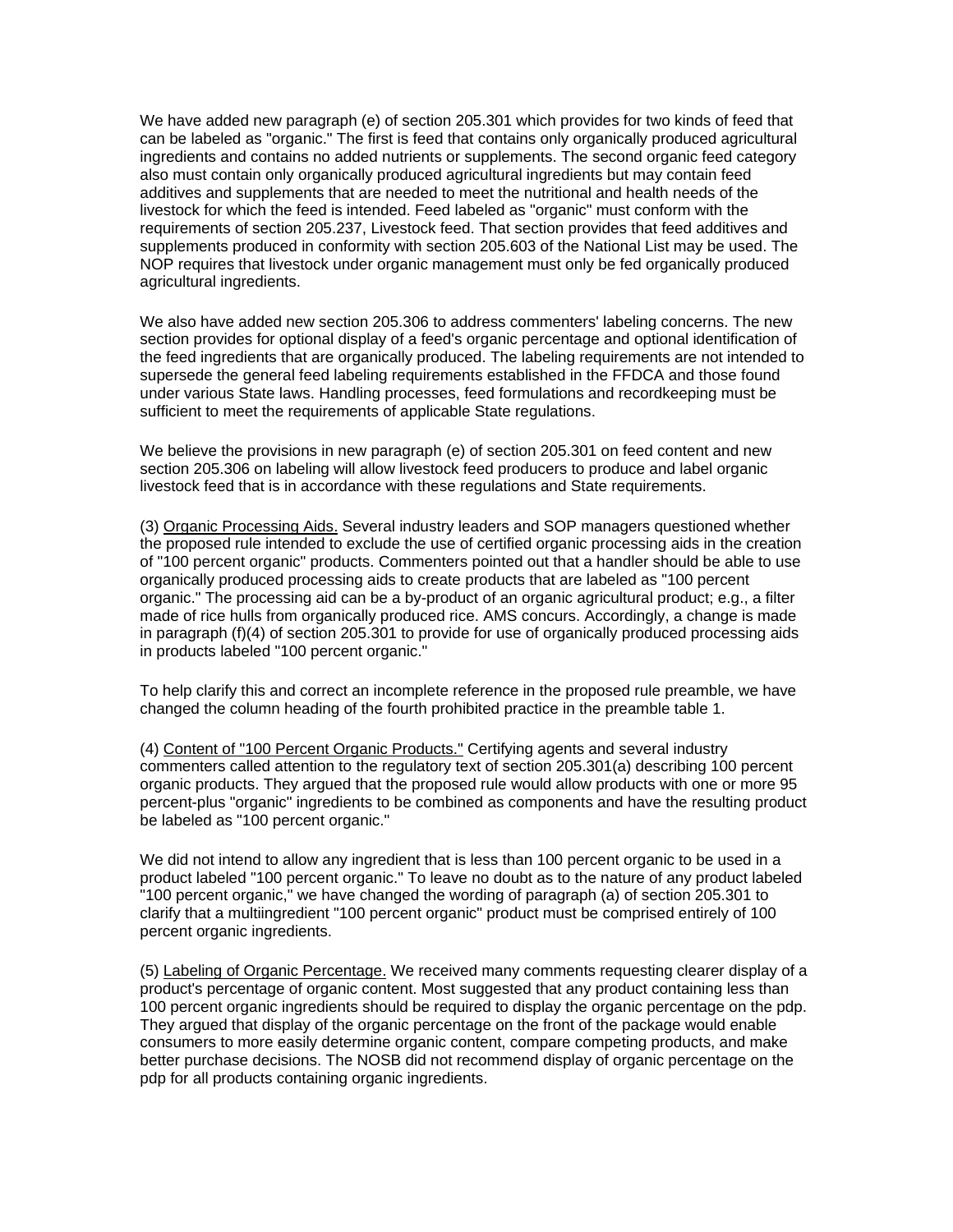We have added new paragraph (e) of section 205.301 which provides for two kinds of feed that can be labeled as "organic." The first is feed that contains only organically produced agricultural ingredients and contains no added nutrients or supplements. The second organic feed category also must contain only organically produced agricultural ingredients but may contain feed additives and supplements that are needed to meet the nutritional and health needs of the livestock for which the feed is intended. Feed labeled as "organic" must conform with the requirements of section 205.237, Livestock feed. That section provides that feed additives and supplements produced in conformity with section 205.603 of the National List may be used. The NOP requires that livestock under organic management must only be fed organically produced agricultural ingredients.

We also have added new section 205.306 to address commenters' labeling concerns. The new section provides for optional display of a feed's organic percentage and optional identification of the feed ingredients that are organically produced. The labeling requirements are not intended to supersede the general feed labeling requirements established in the FFDCA and those found under various State laws. Handling processes, feed formulations and recordkeeping must be sufficient to meet the requirements of applicable State regulations.

We believe the provisions in new paragraph (e) of section 205.301 on feed content and new section 205.306 on labeling will allow livestock feed producers to produce and label organic livestock feed that is in accordance with these regulations and State requirements.

(3) Organic Processing Aids. Several industry leaders and SOP managers questioned whether the proposed rule intended to exclude the use of certified organic processing aids in the creation of "100 percent organic" products. Commenters pointed out that a handler should be able to use organically produced processing aids to create products that are labeled as "100 percent organic." The processing aid can be a by-product of an organic agricultural product; e.g., a filter made of rice hulls from organically produced rice. AMS concurs. Accordingly, a change is made in paragraph (f)(4) of section 205.301 to provide for use of organically produced processing aids in products labeled "100 percent organic."

To help clarify this and correct an incomplete reference in the proposed rule preamble, we have changed the column heading of the fourth prohibited practice in the preamble table 1.

(4) Content of "100 Percent Organic Products." Certifying agents and several industry commenters called attention to the regulatory text of section 205.301(a) describing 100 percent organic products. They argued that the proposed rule would allow products with one or more 95 percent-plus "organic" ingredients to be combined as components and have the resulting product be labeled as "100 percent organic."

We did not intend to allow any ingredient that is less than 100 percent organic to be used in a product labeled "100 percent organic." To leave no doubt as to the nature of any product labeled "100 percent organic," we have changed the wording of paragraph (a) of section 205.301 to clarify that a multiingredient "100 percent organic" product must be comprised entirely of 100 percent organic ingredients.

(5) Labeling of Organic Percentage. We received many comments requesting clearer display of a product's percentage of organic content. Most suggested that any product containing less than 100 percent organic ingredients should be required to display the organic percentage on the pdp. They argued that display of the organic percentage on the front of the package would enable consumers to more easily determine organic content, compare competing products, and make better purchase decisions. The NOSB did not recommend display of organic percentage on the pdp for all products containing organic ingredients.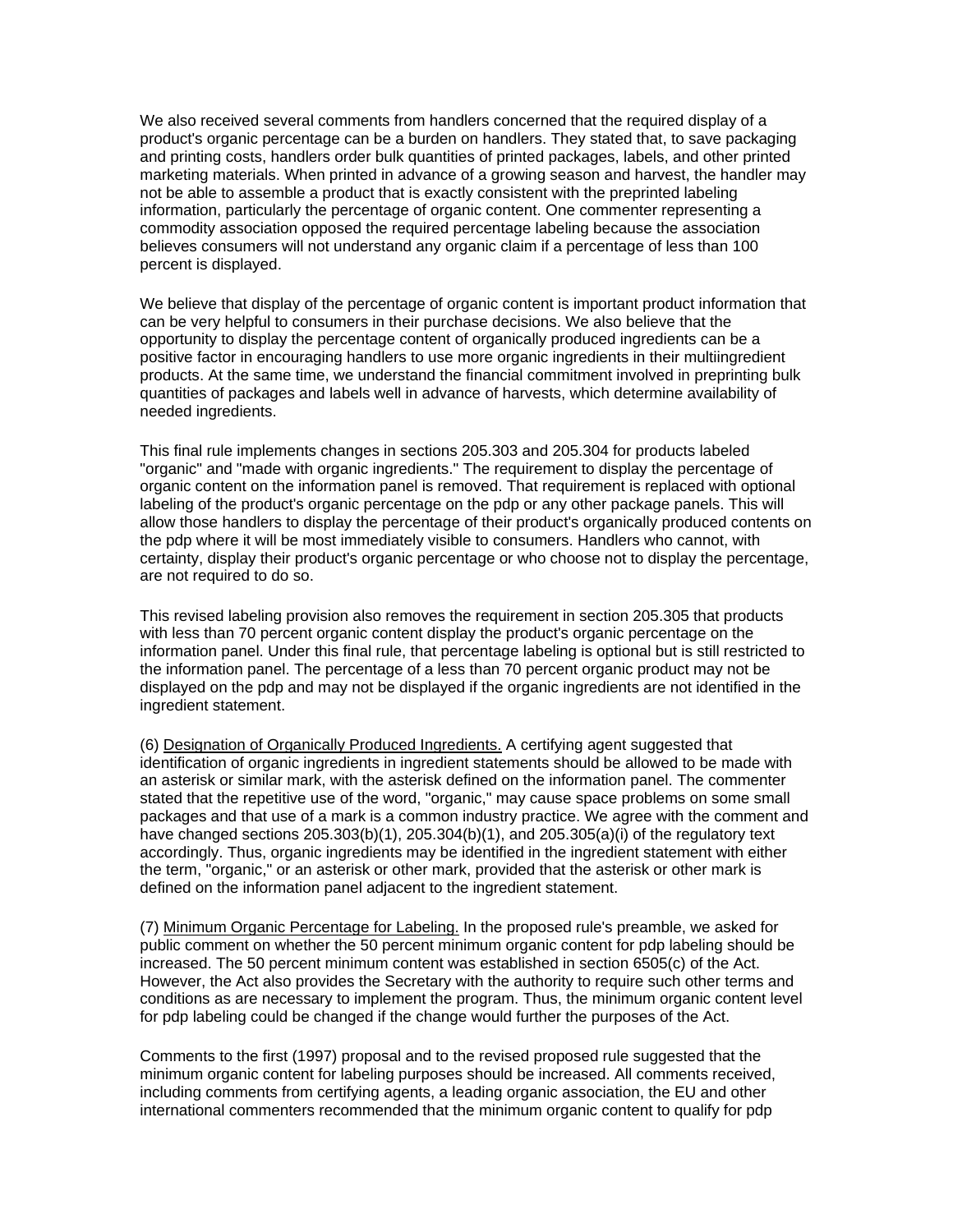We also received several comments from handlers concerned that the required display of a product's organic percentage can be a burden on handlers. They stated that, to save packaging and printing costs, handlers order bulk quantities of printed packages, labels, and other printed marketing materials. When printed in advance of a growing season and harvest, the handler may not be able to assemble a product that is exactly consistent with the preprinted labeling information, particularly the percentage of organic content. One commenter representing a commodity association opposed the required percentage labeling because the association believes consumers will not understand any organic claim if a percentage of less than 100 percent is displayed.

We believe that display of the percentage of organic content is important product information that can be very helpful to consumers in their purchase decisions. We also believe that the opportunity to display the percentage content of organically produced ingredients can be a positive factor in encouraging handlers to use more organic ingredients in their multiingredient products. At the same time, we understand the financial commitment involved in preprinting bulk quantities of packages and labels well in advance of harvests, which determine availability of needed ingredients.

This final rule implements changes in sections 205.303 and 205.304 for products labeled "organic" and "made with organic ingredients." The requirement to display the percentage of organic content on the information panel is removed. That requirement is replaced with optional labeling of the product's organic percentage on the pdp or any other package panels. This will allow those handlers to display the percentage of their product's organically produced contents on the pdp where it will be most immediately visible to consumers. Handlers who cannot, with certainty, display their product's organic percentage or who choose not to display the percentage, are not required to do so.

This revised labeling provision also removes the requirement in section 205.305 that products with less than 70 percent organic content display the product's organic percentage on the information panel. Under this final rule, that percentage labeling is optional but is still restricted to the information panel. The percentage of a less than 70 percent organic product may not be displayed on the pdp and may not be displayed if the organic ingredients are not identified in the ingredient statement.

(6) Designation of Organically Produced Ingredients. A certifying agent suggested that identification of organic ingredients in ingredient statements should be allowed to be made with an asterisk or similar mark, with the asterisk defined on the information panel. The commenter stated that the repetitive use of the word, "organic," may cause space problems on some small packages and that use of a mark is a common industry practice. We agree with the comment and have changed sections 205.303(b)(1), 205.304(b)(1), and 205.305(a)(i) of the regulatory text accordingly. Thus, organic ingredients may be identified in the ingredient statement with either the term, "organic," or an asterisk or other mark, provided that the asterisk or other mark is defined on the information panel adjacent to the ingredient statement.

(7) Minimum Organic Percentage for Labeling. In the proposed rule's preamble, we asked for public comment on whether the 50 percent minimum organic content for pdp labeling should be increased. The 50 percent minimum content was established in section 6505(c) of the Act. However, the Act also provides the Secretary with the authority to require such other terms and conditions as are necessary to implement the program. Thus, the minimum organic content level for pdp labeling could be changed if the change would further the purposes of the Act.

Comments to the first (1997) proposal and to the revised proposed rule suggested that the minimum organic content for labeling purposes should be increased. All comments received, including comments from certifying agents, a leading organic association, the EU and other international commenters recommended that the minimum organic content to qualify for pdp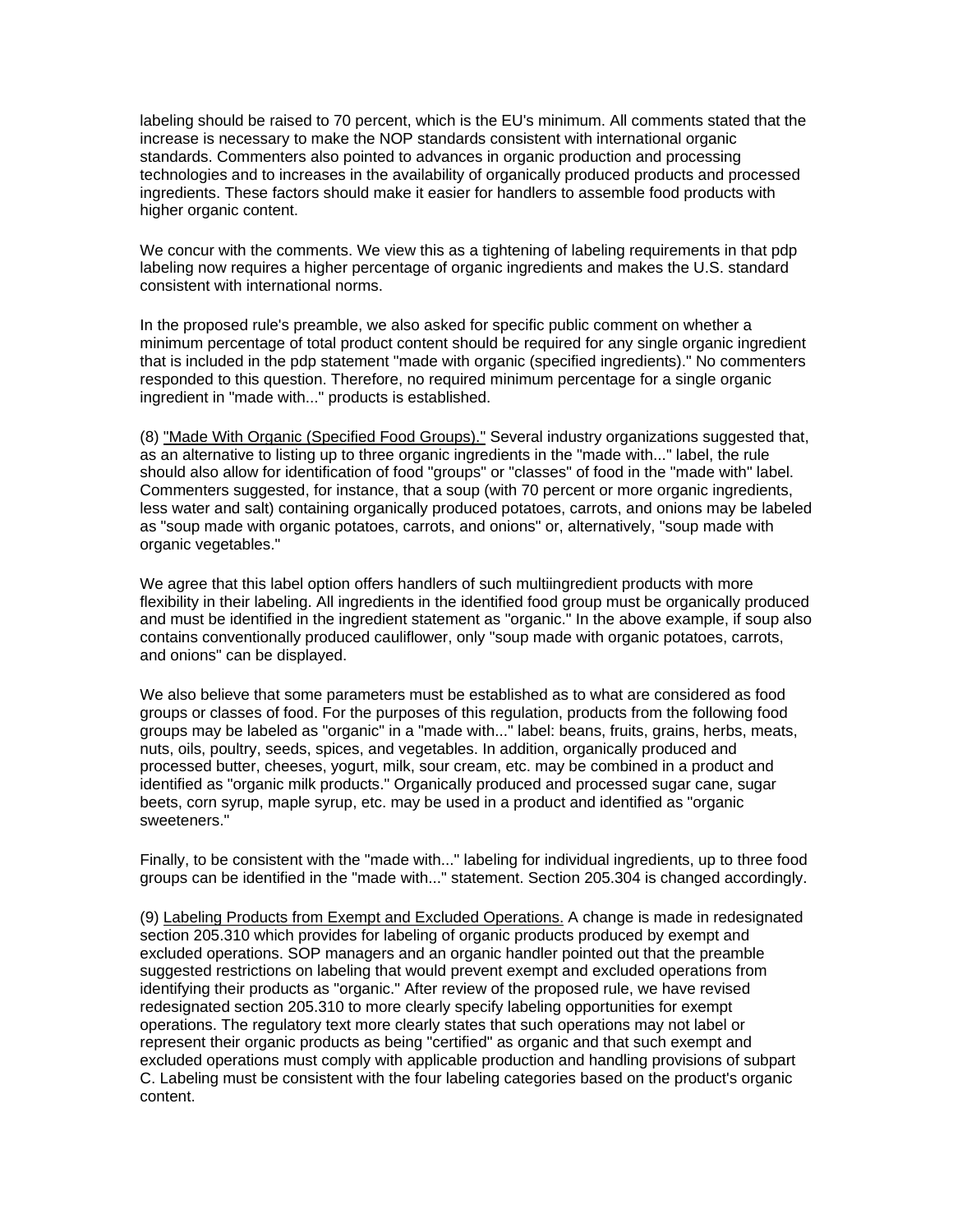labeling should be raised to 70 percent, which is the EU's minimum. All comments stated that the increase is necessary to make the NOP standards consistent with international organic standards. Commenters also pointed to advances in organic production and processing technologies and to increases in the availability of organically produced products and processed ingredients. These factors should make it easier for handlers to assemble food products with higher organic content.

We concur with the comments. We view this as a tightening of labeling requirements in that pdp labeling now requires a higher percentage of organic ingredients and makes the U.S. standard consistent with international norms.

In the proposed rule's preamble, we also asked for specific public comment on whether a minimum percentage of total product content should be required for any single organic ingredient that is included in the pdp statement "made with organic (specified ingredients)." No commenters responded to this question. Therefore, no required minimum percentage for a single organic ingredient in "made with..." products is established.

(8) "Made With Organic (Specified Food Groups)." Several industry organizations suggested that, as an alternative to listing up to three organic ingredients in the "made with..." label, the rule should also allow for identification of food "groups" or "classes" of food in the "made with" label. Commenters suggested, for instance, that a soup (with 70 percent or more organic ingredients, less water and salt) containing organically produced potatoes, carrots, and onions may be labeled as "soup made with organic potatoes, carrots, and onions" or, alternatively, "soup made with organic vegetables."

We agree that this label option offers handlers of such multiingredient products with more flexibility in their labeling. All ingredients in the identified food group must be organically produced and must be identified in the ingredient statement as "organic." In the above example, if soup also contains conventionally produced cauliflower, only "soup made with organic potatoes, carrots, and onions" can be displayed.

We also believe that some parameters must be established as to what are considered as food groups or classes of food. For the purposes of this regulation, products from the following food groups may be labeled as "organic" in a "made with..." label: beans, fruits, grains, herbs, meats, nuts, oils, poultry, seeds, spices, and vegetables. In addition, organically produced and processed butter, cheeses, yogurt, milk, sour cream, etc. may be combined in a product and identified as "organic milk products." Organically produced and processed sugar cane, sugar beets, corn syrup, maple syrup, etc. may be used in a product and identified as "organic sweeteners."

Finally, to be consistent with the "made with..." labeling for individual ingredients, up to three food groups can be identified in the "made with..." statement. Section 205.304 is changed accordingly.

(9) Labeling Products from Exempt and Excluded Operations. A change is made in redesignated section 205.310 which provides for labeling of organic products produced by exempt and excluded operations. SOP managers and an organic handler pointed out that the preamble suggested restrictions on labeling that would prevent exempt and excluded operations from identifying their products as "organic." After review of the proposed rule, we have revised redesignated section 205.310 to more clearly specify labeling opportunities for exempt operations. The regulatory text more clearly states that such operations may not label or represent their organic products as being "certified" as organic and that such exempt and excluded operations must comply with applicable production and handling provisions of subpart C. Labeling must be consistent with the four labeling categories based on the product's organic content.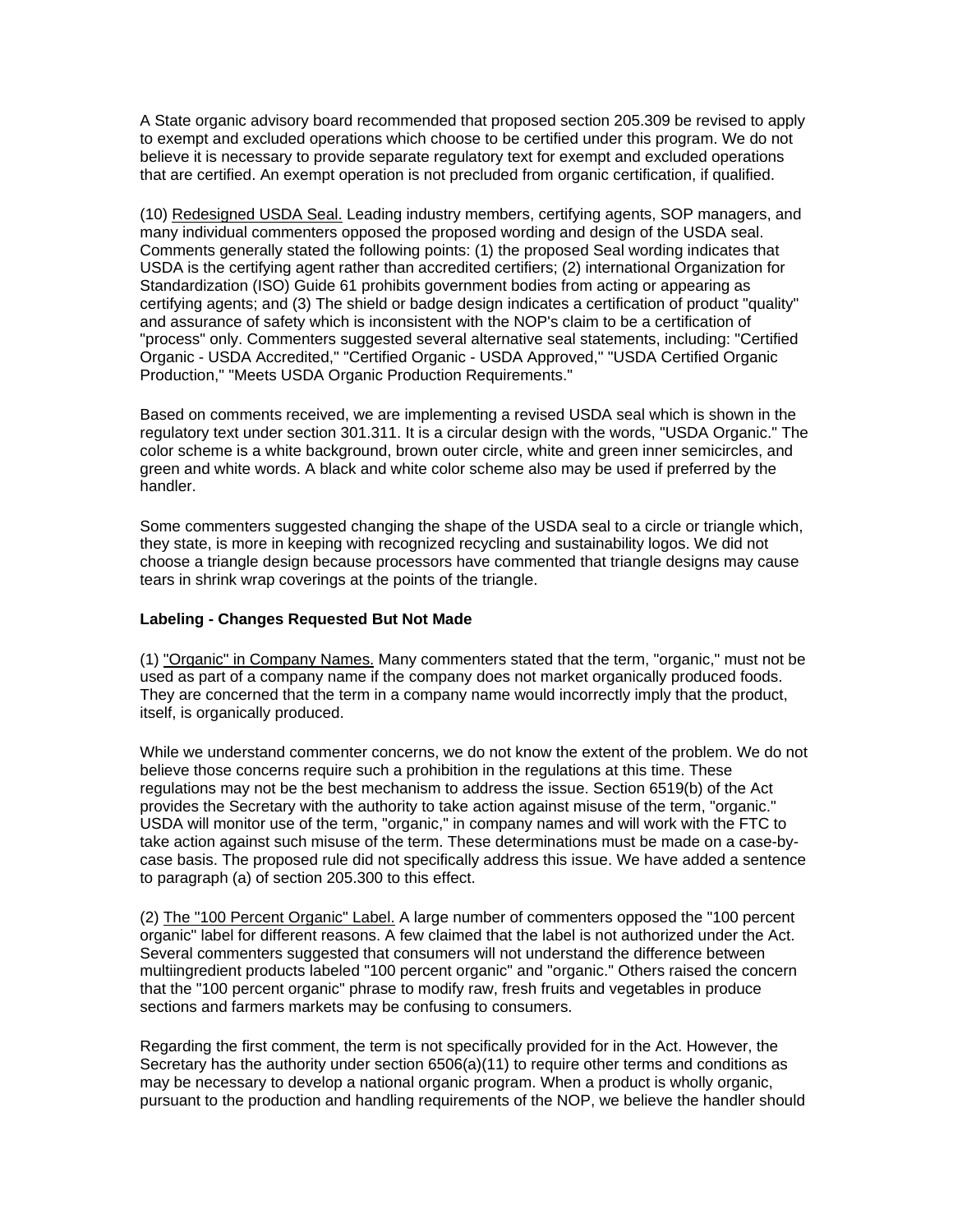A State organic advisory board recommended that proposed section 205.309 be revised to apply to exempt and excluded operations which choose to be certified under this program. We do not believe it is necessary to provide separate regulatory text for exempt and excluded operations that are certified. An exempt operation is not precluded from organic certification, if qualified.

(10) Redesigned USDA Seal. Leading industry members, certifying agents, SOP managers, and many individual commenters opposed the proposed wording and design of the USDA seal. Comments generally stated the following points: (1) the proposed Seal wording indicates that USDA is the certifying agent rather than accredited certifiers; (2) international Organization for Standardization (ISO) Guide 61 prohibits government bodies from acting or appearing as certifying agents; and (3) The shield or badge design indicates a certification of product "quality" and assurance of safety which is inconsistent with the NOP's claim to be a certification of "process" only. Commenters suggested several alternative seal statements, including: "Certified Organic - USDA Accredited," "Certified Organic - USDA Approved," "USDA Certified Organic Production," "Meets USDA Organic Production Requirements."

Based on comments received, we are implementing a revised USDA seal which is shown in the regulatory text under section 301.311. It is a circular design with the words, "USDA Organic." The color scheme is a white background, brown outer circle, white and green inner semicircles, and green and white words. A black and white color scheme also may be used if preferred by the handler.

Some commenters suggested changing the shape of the USDA seal to a circle or triangle which, they state, is more in keeping with recognized recycling and sustainability logos. We did not choose a triangle design because processors have commented that triangle designs may cause tears in shrink wrap coverings at the points of the triangle.

## **Labeling - Changes Requested But Not Made**

(1) "Organic" in Company Names. Many commenters stated that the term, "organic," must not be used as part of a company name if the company does not market organically produced foods. They are concerned that the term in a company name would incorrectly imply that the product, itself, is organically produced.

While we understand commenter concerns, we do not know the extent of the problem. We do not believe those concerns require such a prohibition in the regulations at this time. These regulations may not be the best mechanism to address the issue. Section 6519(b) of the Act provides the Secretary with the authority to take action against misuse of the term, "organic." USDA will monitor use of the term, "organic," in company names and will work with the FTC to take action against such misuse of the term. These determinations must be made on a case-bycase basis. The proposed rule did not specifically address this issue. We have added a sentence to paragraph (a) of section 205.300 to this effect.

(2) The "100 Percent Organic" Label. A large number of commenters opposed the "100 percent organic" label for different reasons. A few claimed that the label is not authorized under the Act. Several commenters suggested that consumers will not understand the difference between multiingredient products labeled "100 percent organic" and "organic." Others raised the concern that the "100 percent organic" phrase to modify raw, fresh fruits and vegetables in produce sections and farmers markets may be confusing to consumers.

Regarding the first comment, the term is not specifically provided for in the Act. However, the Secretary has the authority under section 6506(a)(11) to require other terms and conditions as may be necessary to develop a national organic program. When a product is wholly organic, pursuant to the production and handling requirements of the NOP, we believe the handler should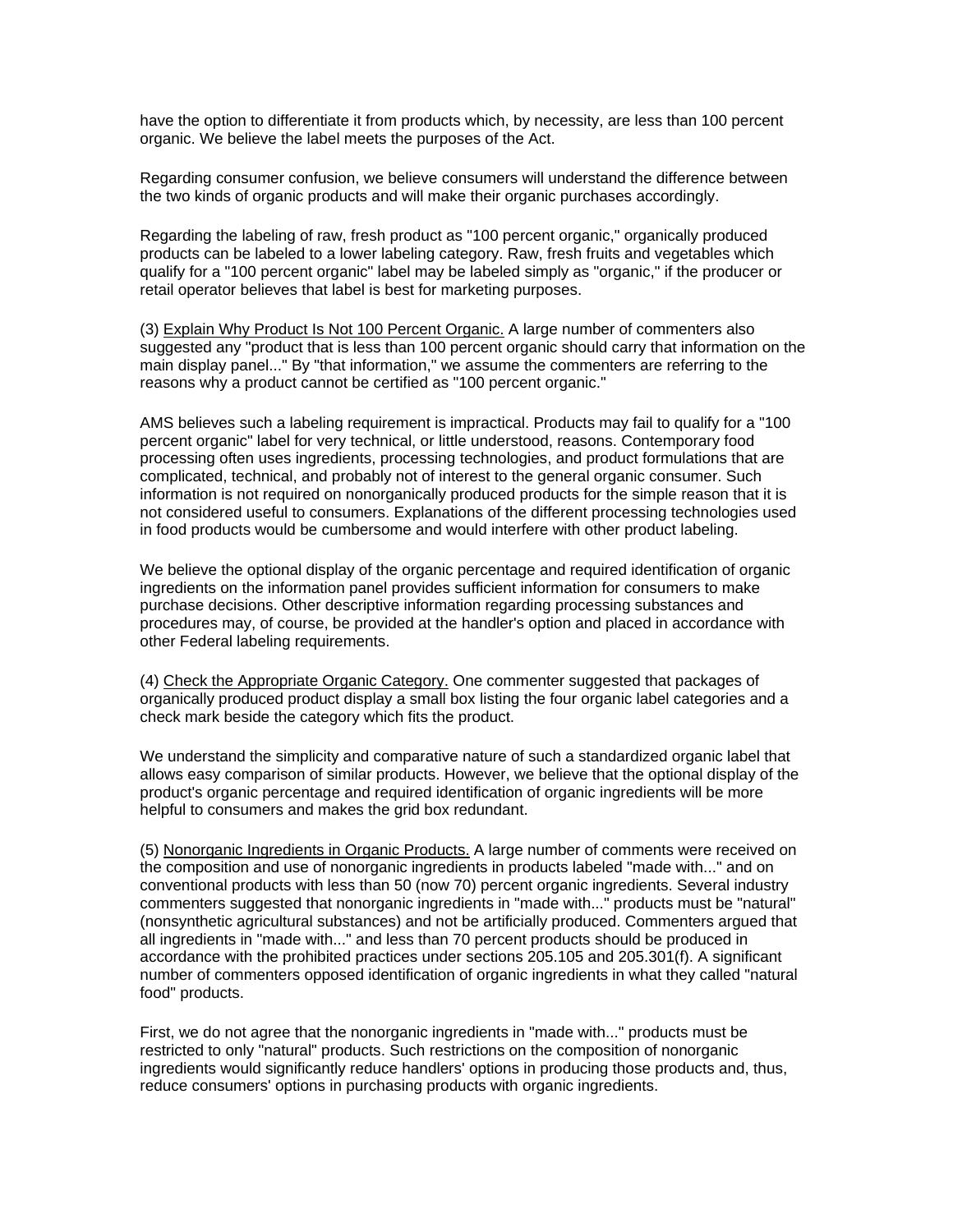have the option to differentiate it from products which, by necessity, are less than 100 percent organic. We believe the label meets the purposes of the Act.

Regarding consumer confusion, we believe consumers will understand the difference between the two kinds of organic products and will make their organic purchases accordingly.

Regarding the labeling of raw, fresh product as "100 percent organic," organically produced products can be labeled to a lower labeling category. Raw, fresh fruits and vegetables which qualify for a "100 percent organic" label may be labeled simply as "organic," if the producer or retail operator believes that label is best for marketing purposes.

(3) Explain Why Product Is Not 100 Percent Organic. A large number of commenters also suggested any "product that is less than 100 percent organic should carry that information on the main display panel..." By "that information," we assume the commenters are referring to the reasons why a product cannot be certified as "100 percent organic."

AMS believes such a labeling requirement is impractical. Products may fail to qualify for a "100 percent organic" label for very technical, or little understood, reasons. Contemporary food processing often uses ingredients, processing technologies, and product formulations that are complicated, technical, and probably not of interest to the general organic consumer. Such information is not required on nonorganically produced products for the simple reason that it is not considered useful to consumers. Explanations of the different processing technologies used in food products would be cumbersome and would interfere with other product labeling.

We believe the optional display of the organic percentage and required identification of organic ingredients on the information panel provides sufficient information for consumers to make purchase decisions. Other descriptive information regarding processing substances and procedures may, of course, be provided at the handler's option and placed in accordance with other Federal labeling requirements.

(4) Check the Appropriate Organic Category. One commenter suggested that packages of organically produced product display a small box listing the four organic label categories and a check mark beside the category which fits the product.

We understand the simplicity and comparative nature of such a standardized organic label that allows easy comparison of similar products. However, we believe that the optional display of the product's organic percentage and required identification of organic ingredients will be more helpful to consumers and makes the grid box redundant.

(5) Nonorganic Ingredients in Organic Products. A large number of comments were received on the composition and use of nonorganic ingredients in products labeled "made with..." and on conventional products with less than 50 (now 70) percent organic ingredients. Several industry commenters suggested that nonorganic ingredients in "made with..." products must be "natural" (nonsynthetic agricultural substances) and not be artificially produced. Commenters argued that all ingredients in "made with..." and less than 70 percent products should be produced in accordance with the prohibited practices under sections 205.105 and 205.301(f). A significant number of commenters opposed identification of organic ingredients in what they called "natural food" products.

First, we do not agree that the nonorganic ingredients in "made with..." products must be restricted to only "natural" products. Such restrictions on the composition of nonorganic ingredients would significantly reduce handlers' options in producing those products and, thus, reduce consumers' options in purchasing products with organic ingredients.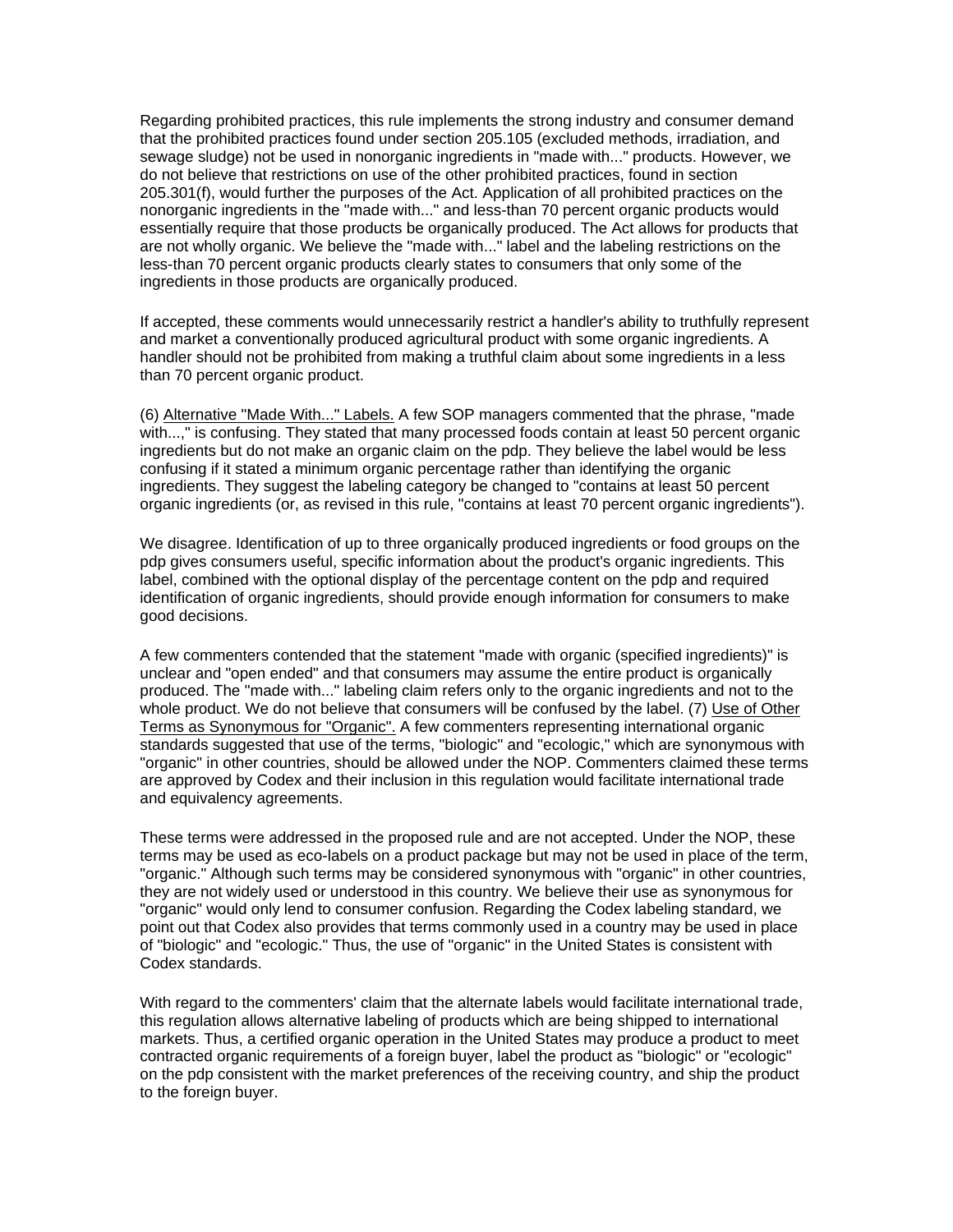Regarding prohibited practices, this rule implements the strong industry and consumer demand that the prohibited practices found under section 205.105 (excluded methods, irradiation, and sewage sludge) not be used in nonorganic ingredients in "made with..." products. However, we do not believe that restrictions on use of the other prohibited practices, found in section 205.301(f), would further the purposes of the Act. Application of all prohibited practices on the nonorganic ingredients in the "made with..." and less-than 70 percent organic products would essentially require that those products be organically produced. The Act allows for products that are not wholly organic. We believe the "made with..." label and the labeling restrictions on the less-than 70 percent organic products clearly states to consumers that only some of the ingredients in those products are organically produced.

If accepted, these comments would unnecessarily restrict a handler's ability to truthfully represent and market a conventionally produced agricultural product with some organic ingredients. A handler should not be prohibited from making a truthful claim about some ingredients in a less than 70 percent organic product.

(6) Alternative "Made With..." Labels. A few SOP managers commented that the phrase, "made with...," is confusing. They stated that many processed foods contain at least 50 percent organic ingredients but do not make an organic claim on the pdp. They believe the label would be less confusing if it stated a minimum organic percentage rather than identifying the organic ingredients. They suggest the labeling category be changed to "contains at least 50 percent organic ingredients (or, as revised in this rule, "contains at least 70 percent organic ingredients").

We disagree. Identification of up to three organically produced ingredients or food groups on the pdp gives consumers useful, specific information about the product's organic ingredients. This label, combined with the optional display of the percentage content on the pdp and required identification of organic ingredients, should provide enough information for consumers to make good decisions.

A few commenters contended that the statement "made with organic (specified ingredients)" is unclear and "open ended" and that consumers may assume the entire product is organically produced. The "made with..." labeling claim refers only to the organic ingredients and not to the whole product. We do not believe that consumers will be confused by the label. (7) Use of Other Terms as Synonymous for "Organic". A few commenters representing international organic standards suggested that use of the terms, "biologic" and "ecologic," which are synonymous with "organic" in other countries, should be allowed under the NOP. Commenters claimed these terms are approved by Codex and their inclusion in this regulation would facilitate international trade and equivalency agreements.

These terms were addressed in the proposed rule and are not accepted. Under the NOP, these terms may be used as eco-labels on a product package but may not be used in place of the term, "organic." Although such terms may be considered synonymous with "organic" in other countries, they are not widely used or understood in this country. We believe their use as synonymous for "organic" would only lend to consumer confusion. Regarding the Codex labeling standard, we point out that Codex also provides that terms commonly used in a country may be used in place of "biologic" and "ecologic." Thus, the use of "organic" in the United States is consistent with Codex standards.

With regard to the commenters' claim that the alternate labels would facilitate international trade, this regulation allows alternative labeling of products which are being shipped to international markets. Thus, a certified organic operation in the United States may produce a product to meet contracted organic requirements of a foreign buyer, label the product as "biologic" or "ecologic" on the pdp consistent with the market preferences of the receiving country, and ship the product to the foreign buyer.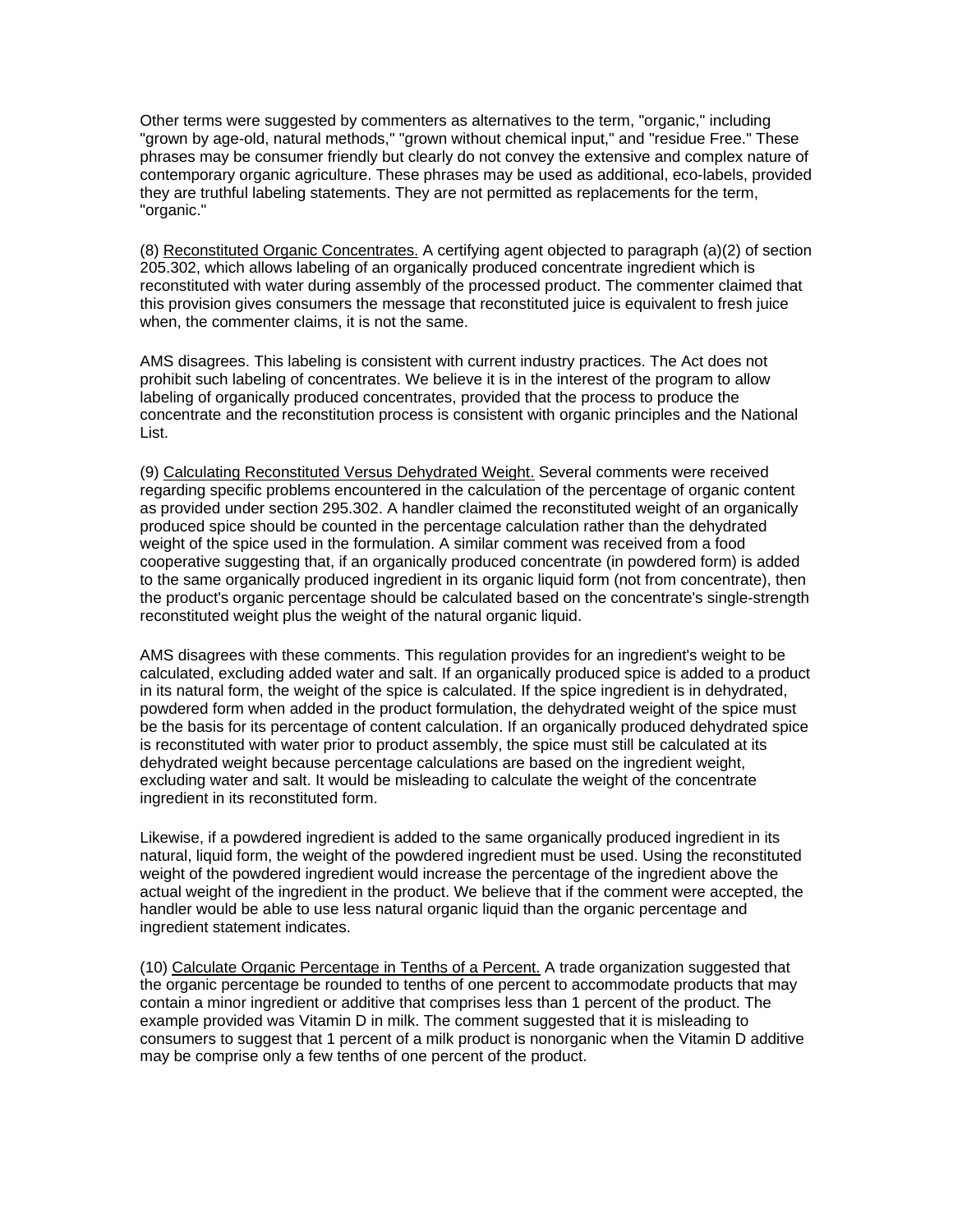Other terms were suggested by commenters as alternatives to the term, "organic," including "grown by age-old, natural methods," "grown without chemical input," and "residue Free." These phrases may be consumer friendly but clearly do not convey the extensive and complex nature of contemporary organic agriculture. These phrases may be used as additional, eco-labels, provided they are truthful labeling statements. They are not permitted as replacements for the term, "organic."

(8) Reconstituted Organic Concentrates. A certifying agent objected to paragraph (a)(2) of section 205.302, which allows labeling of an organically produced concentrate ingredient which is reconstituted with water during assembly of the processed product. The commenter claimed that this provision gives consumers the message that reconstituted juice is equivalent to fresh juice when, the commenter claims, it is not the same.

AMS disagrees. This labeling is consistent with current industry practices. The Act does not prohibit such labeling of concentrates. We believe it is in the interest of the program to allow labeling of organically produced concentrates, provided that the process to produce the concentrate and the reconstitution process is consistent with organic principles and the National List.

(9) Calculating Reconstituted Versus Dehydrated Weight. Several comments were received regarding specific problems encountered in the calculation of the percentage of organic content as provided under section 295.302. A handler claimed the reconstituted weight of an organically produced spice should be counted in the percentage calculation rather than the dehydrated weight of the spice used in the formulation. A similar comment was received from a food cooperative suggesting that, if an organically produced concentrate (in powdered form) is added to the same organically produced ingredient in its organic liquid form (not from concentrate), then the product's organic percentage should be calculated based on the concentrate's single-strength reconstituted weight plus the weight of the natural organic liquid.

AMS disagrees with these comments. This regulation provides for an ingredient's weight to be calculated, excluding added water and salt. If an organically produced spice is added to a product in its natural form, the weight of the spice is calculated. If the spice ingredient is in dehydrated, powdered form when added in the product formulation, the dehydrated weight of the spice must be the basis for its percentage of content calculation. If an organically produced dehydrated spice is reconstituted with water prior to product assembly, the spice must still be calculated at its dehydrated weight because percentage calculations are based on the ingredient weight, excluding water and salt. It would be misleading to calculate the weight of the concentrate ingredient in its reconstituted form.

Likewise, if a powdered ingredient is added to the same organically produced ingredient in its natural, liquid form, the weight of the powdered ingredient must be used. Using the reconstituted weight of the powdered ingredient would increase the percentage of the ingredient above the actual weight of the ingredient in the product. We believe that if the comment were accepted, the handler would be able to use less natural organic liquid than the organic percentage and ingredient statement indicates.

(10) Calculate Organic Percentage in Tenths of a Percent. A trade organization suggested that the organic percentage be rounded to tenths of one percent to accommodate products that may contain a minor ingredient or additive that comprises less than 1 percent of the product. The example provided was Vitamin D in milk. The comment suggested that it is misleading to consumers to suggest that 1 percent of a milk product is nonorganic when the Vitamin D additive may be comprise only a few tenths of one percent of the product.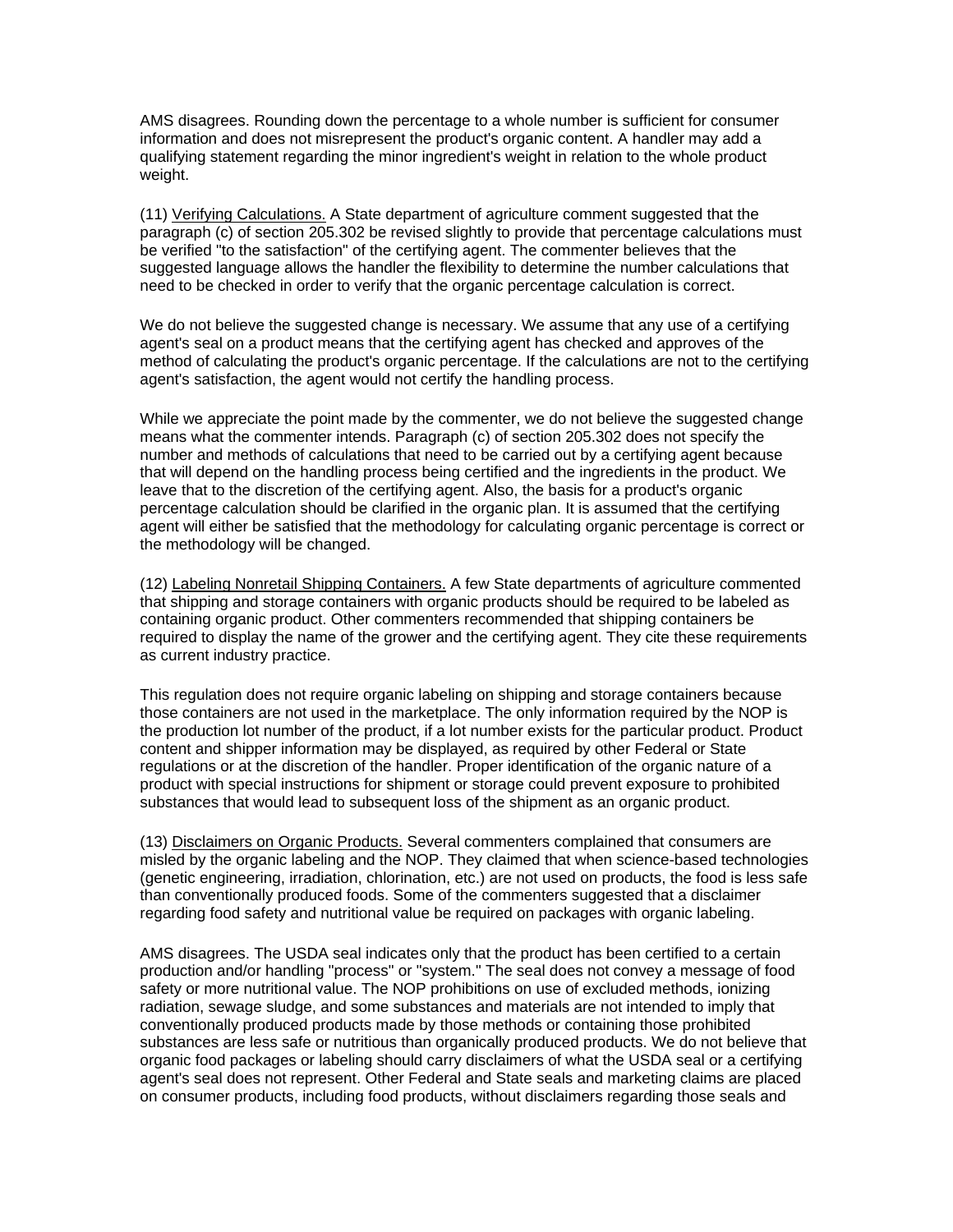AMS disagrees. Rounding down the percentage to a whole number is sufficient for consumer information and does not misrepresent the product's organic content. A handler may add a qualifying statement regarding the minor ingredient's weight in relation to the whole product weight.

(11) Verifying Calculations. A State department of agriculture comment suggested that the paragraph (c) of section 205.302 be revised slightly to provide that percentage calculations must be verified "to the satisfaction" of the certifying agent. The commenter believes that the suggested language allows the handler the flexibility to determine the number calculations that need to be checked in order to verify that the organic percentage calculation is correct.

We do not believe the suggested change is necessary. We assume that any use of a certifying agent's seal on a product means that the certifying agent has checked and approves of the method of calculating the product's organic percentage. If the calculations are not to the certifying agent's satisfaction, the agent would not certify the handling process.

While we appreciate the point made by the commenter, we do not believe the suggested change means what the commenter intends. Paragraph (c) of section 205.302 does not specify the number and methods of calculations that need to be carried out by a certifying agent because that will depend on the handling process being certified and the ingredients in the product. We leave that to the discretion of the certifying agent. Also, the basis for a product's organic percentage calculation should be clarified in the organic plan. It is assumed that the certifying agent will either be satisfied that the methodology for calculating organic percentage is correct or the methodology will be changed.

(12) Labeling Nonretail Shipping Containers. A few State departments of agriculture commented that shipping and storage containers with organic products should be required to be labeled as containing organic product. Other commenters recommended that shipping containers be required to display the name of the grower and the certifying agent. They cite these requirements as current industry practice.

This regulation does not require organic labeling on shipping and storage containers because those containers are not used in the marketplace. The only information required by the NOP is the production lot number of the product, if a lot number exists for the particular product. Product content and shipper information may be displayed, as required by other Federal or State regulations or at the discretion of the handler. Proper identification of the organic nature of a product with special instructions for shipment or storage could prevent exposure to prohibited substances that would lead to subsequent loss of the shipment as an organic product.

(13) Disclaimers on Organic Products. Several commenters complained that consumers are misled by the organic labeling and the NOP. They claimed that when science-based technologies (genetic engineering, irradiation, chlorination, etc.) are not used on products, the food is less safe than conventionally produced foods. Some of the commenters suggested that a disclaimer regarding food safety and nutritional value be required on packages with organic labeling.

AMS disagrees. The USDA seal indicates only that the product has been certified to a certain production and/or handling "process" or "system." The seal does not convey a message of food safety or more nutritional value. The NOP prohibitions on use of excluded methods, ionizing radiation, sewage sludge, and some substances and materials are not intended to imply that conventionally produced products made by those methods or containing those prohibited substances are less safe or nutritious than organically produced products. We do not believe that organic food packages or labeling should carry disclaimers of what the USDA seal or a certifying agent's seal does not represent. Other Federal and State seals and marketing claims are placed on consumer products, including food products, without disclaimers regarding those seals and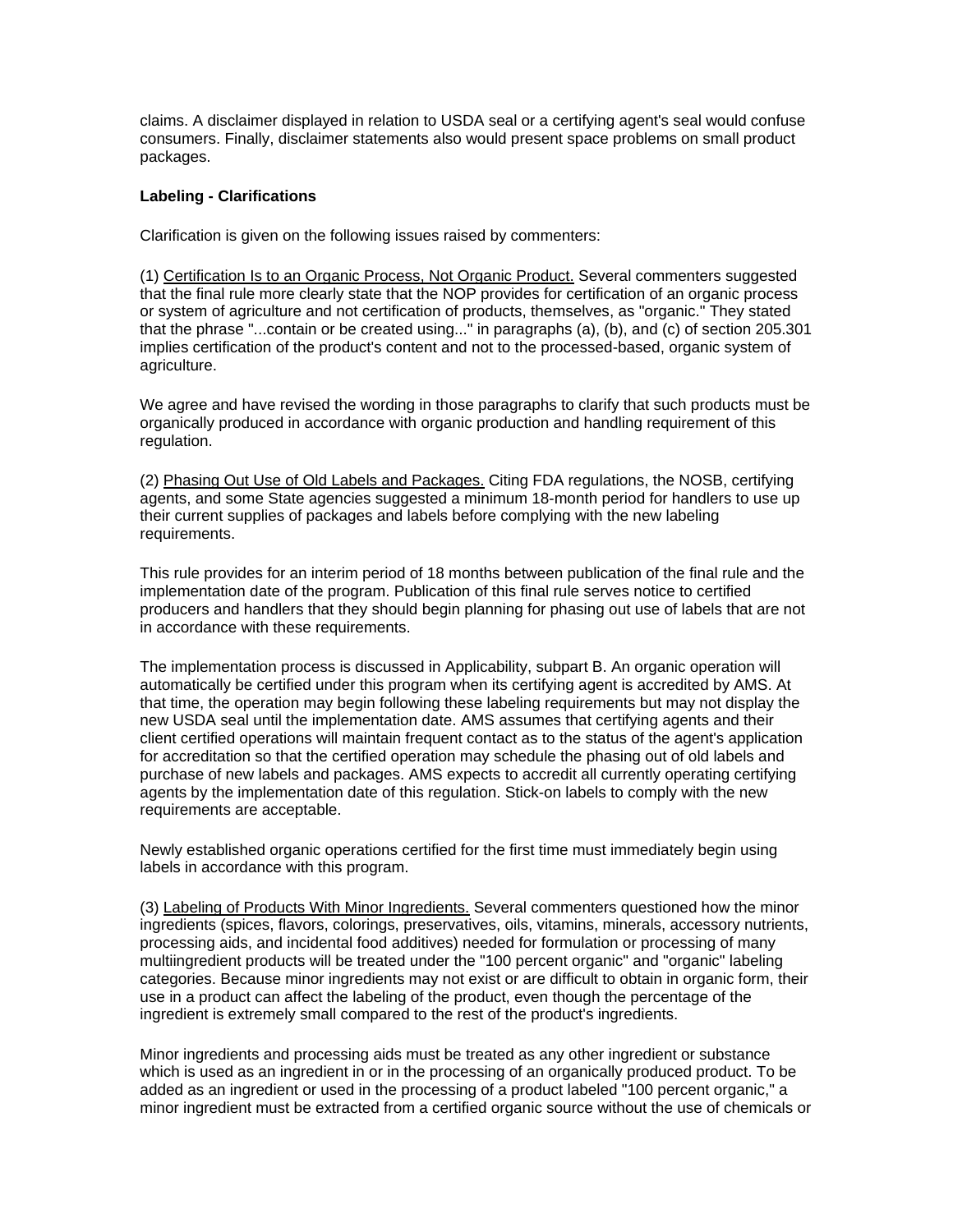claims. A disclaimer displayed in relation to USDA seal or a certifying agent's seal would confuse consumers. Finally, disclaimer statements also would present space problems on small product packages.

# **Labeling - Clarifications**

Clarification is given on the following issues raised by commenters:

(1) Certification Is to an Organic Process, Not Organic Product. Several commenters suggested that the final rule more clearly state that the NOP provides for certification of an organic process or system of agriculture and not certification of products, themselves, as "organic." They stated that the phrase "...contain or be created using..." in paragraphs (a), (b), and (c) of section 205.301 implies certification of the product's content and not to the processed-based, organic system of agriculture.

We agree and have revised the wording in those paragraphs to clarify that such products must be organically produced in accordance with organic production and handling requirement of this regulation.

(2) Phasing Out Use of Old Labels and Packages. Citing FDA regulations, the NOSB, certifying agents, and some State agencies suggested a minimum 18-month period for handlers to use up their current supplies of packages and labels before complying with the new labeling requirements.

This rule provides for an interim period of 18 months between publication of the final rule and the implementation date of the program. Publication of this final rule serves notice to certified producers and handlers that they should begin planning for phasing out use of labels that are not in accordance with these requirements.

The implementation process is discussed in Applicability, subpart B. An organic operation will automatically be certified under this program when its certifying agent is accredited by AMS. At that time, the operation may begin following these labeling requirements but may not display the new USDA seal until the implementation date. AMS assumes that certifying agents and their client certified operations will maintain frequent contact as to the status of the agent's application for accreditation so that the certified operation may schedule the phasing out of old labels and purchase of new labels and packages. AMS expects to accredit all currently operating certifying agents by the implementation date of this regulation. Stick-on labels to comply with the new requirements are acceptable.

Newly established organic operations certified for the first time must immediately begin using labels in accordance with this program.

(3) Labeling of Products With Minor Ingredients. Several commenters questioned how the minor ingredients (spices, flavors, colorings, preservatives, oils, vitamins, minerals, accessory nutrients, processing aids, and incidental food additives) needed for formulation or processing of many multiingredient products will be treated under the "100 percent organic" and "organic" labeling categories. Because minor ingredients may not exist or are difficult to obtain in organic form, their use in a product can affect the labeling of the product, even though the percentage of the ingredient is extremely small compared to the rest of the product's ingredients.

Minor ingredients and processing aids must be treated as any other ingredient or substance which is used as an ingredient in or in the processing of an organically produced product. To be added as an ingredient or used in the processing of a product labeled "100 percent organic," a minor ingredient must be extracted from a certified organic source without the use of chemicals or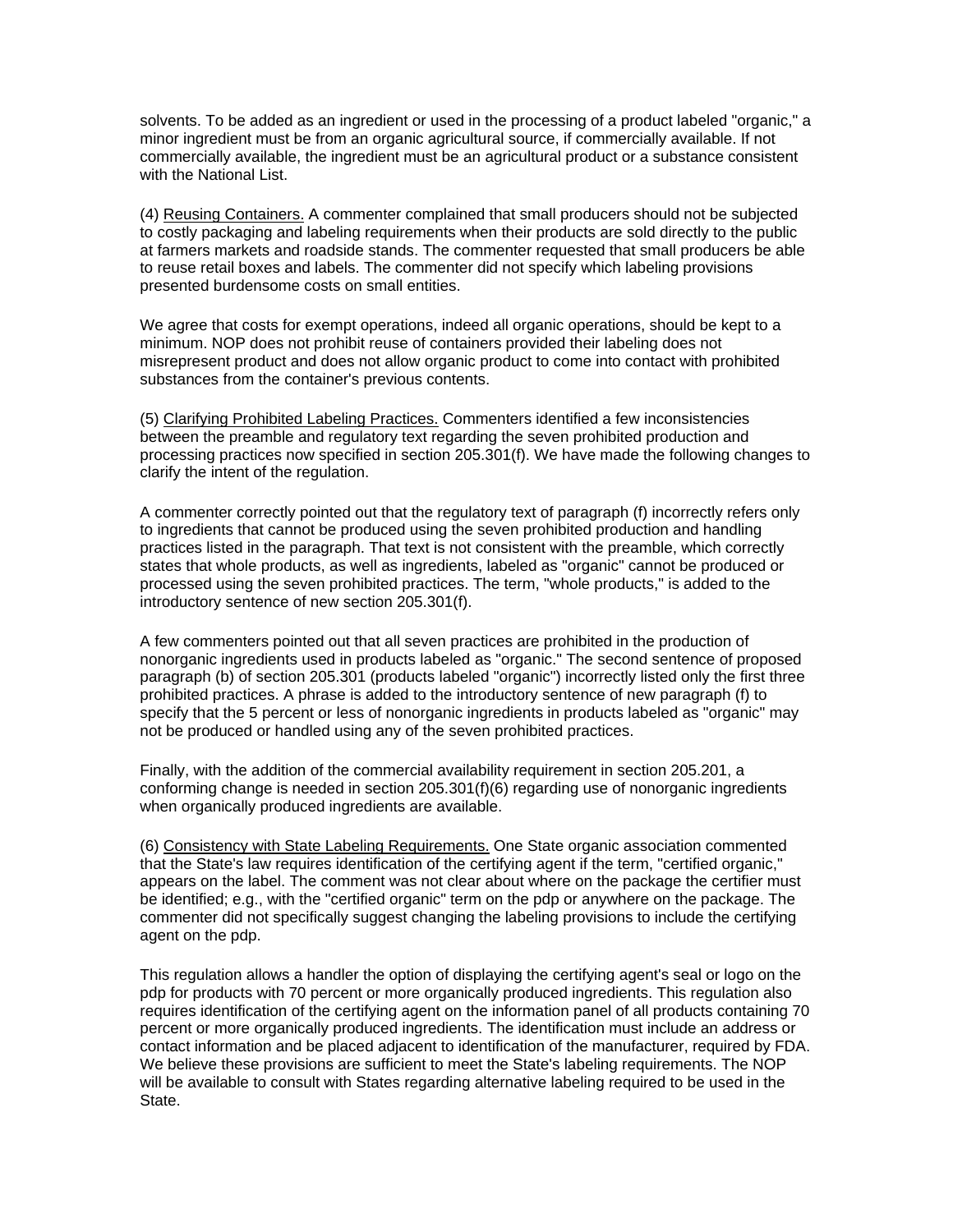solvents. To be added as an ingredient or used in the processing of a product labeled "organic," a minor ingredient must be from an organic agricultural source, if commercially available. If not commercially available, the ingredient must be an agricultural product or a substance consistent with the National List.

(4) Reusing Containers. A commenter complained that small producers should not be subjected to costly packaging and labeling requirements when their products are sold directly to the public at farmers markets and roadside stands. The commenter requested that small producers be able to reuse retail boxes and labels. The commenter did not specify which labeling provisions presented burdensome costs on small entities.

We agree that costs for exempt operations, indeed all organic operations, should be kept to a minimum. NOP does not prohibit reuse of containers provided their labeling does not misrepresent product and does not allow organic product to come into contact with prohibited substances from the container's previous contents.

(5) Clarifying Prohibited Labeling Practices. Commenters identified a few inconsistencies between the preamble and regulatory text regarding the seven prohibited production and processing practices now specified in section 205.301(f). We have made the following changes to clarify the intent of the regulation.

A commenter correctly pointed out that the regulatory text of paragraph (f) incorrectly refers only to ingredients that cannot be produced using the seven prohibited production and handling practices listed in the paragraph. That text is not consistent with the preamble, which correctly states that whole products, as well as ingredients, labeled as "organic" cannot be produced or processed using the seven prohibited practices. The term, "whole products," is added to the introductory sentence of new section 205.301(f).

A few commenters pointed out that all seven practices are prohibited in the production of nonorganic ingredients used in products labeled as "organic." The second sentence of proposed paragraph (b) of section 205.301 (products labeled "organic") incorrectly listed only the first three prohibited practices. A phrase is added to the introductory sentence of new paragraph (f) to specify that the 5 percent or less of nonorganic ingredients in products labeled as "organic" may not be produced or handled using any of the seven prohibited practices.

Finally, with the addition of the commercial availability requirement in section 205.201, a conforming change is needed in section 205.301(f)(6) regarding use of nonorganic ingredients when organically produced ingredients are available.

(6) Consistency with State Labeling Requirements. One State organic association commented that the State's law requires identification of the certifying agent if the term, "certified organic," appears on the label. The comment was not clear about where on the package the certifier must be identified; e.g., with the "certified organic" term on the pdp or anywhere on the package. The commenter did not specifically suggest changing the labeling provisions to include the certifying agent on the pdp.

This regulation allows a handler the option of displaying the certifying agent's seal or logo on the pdp for products with 70 percent or more organically produced ingredients. This regulation also requires identification of the certifying agent on the information panel of all products containing 70 percent or more organically produced ingredients. The identification must include an address or contact information and be placed adjacent to identification of the manufacturer, required by FDA. We believe these provisions are sufficient to meet the State's labeling requirements. The NOP will be available to consult with States regarding alternative labeling required to be used in the State.